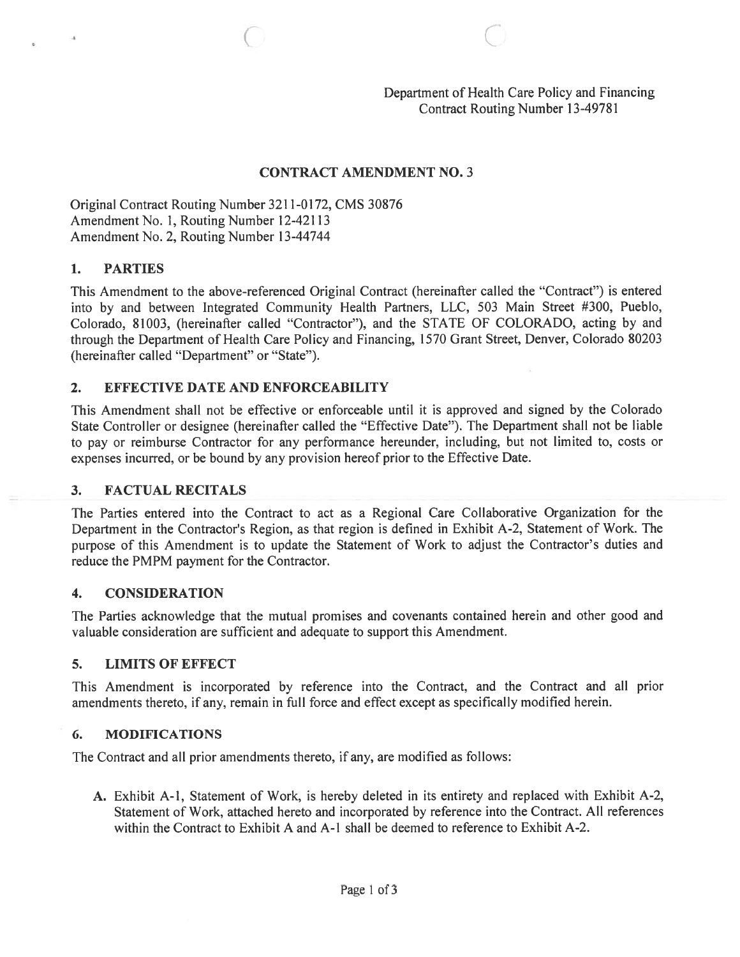## CONTRACT AMENDMENT NO.3

 $\circ$  C

Original Contract Routing Number 3211-0172, CMS 30876 Amendment No. 1, Routing Number 12-42113 Amendment No. 2, Routing Number 13-44744

## 1. PARTIES

This Amendment to the above-referenced Original Contract (hereinafter called the "Contract") is entered into by and between Integrated Community Health Partners, LLC, 503 Main Street #300, Pueblo, Colorado, 81003, (hereinafter called "Contractor"), and the STATE OF COLORADO, acting by and through the Department of Health Care Policy and Financing, 1570 Grant Street, Denver, Colorado 80203 (hereinafter called "Department" or "State").

## 2. EFFECTIVE DATE AND ENFORCEABILITY

This Amendment shall not be effective or enforceable until it is approved and signed by the Colorado State Controller or designee (hereinafter called the "Effective Date"). The Department shall not be liable to pay or reimburse Contractor for any performance hereunder, including, but not limited to, costs or expenses incurred, or be bound by any provision hereof prior to the Effective Date.

## 3. FACTuAL RECITALS

The Parties entered into the Contract to act as <sup>a</sup> Regional Care Collaborative Organization for the Department in the Contractor's Region, as that region is defined in Exhibit A-2, Statement of Work. The purpose of this Amendment is to update the Statement of Work to adjust the Contractor's duties and reduce the PMPM paymen<sup>t</sup> for the Contractor.

### 4. CONSIDERATION

The Parties acknowledge that the mutual promises and covenants contained herein and other good and valuable consideration are sufficient and adequate to suppor<sup>t</sup> this Amendment.

### 5. LIMITS OF EFFECT

This Amendment is incorporated by reference into the Contract, and the Contract and all prior amendments thereto, if any, remain in full force and effect excep<sup>t</sup> as specifically modified herein.

### 6. MODIFICATIONS

The Contract and all prior amendments thereto, if any, are modified as follows:

A. Exhibit A-I, Statement of Work, is hereby deleted in its entirety and replaced with Exhibit A-2, Statement of Work, attached hereto and incorporated by reference into the Contract. All references within the Contract to Exhibit A and A-I shall be deemed to reference to Exhibit A-2.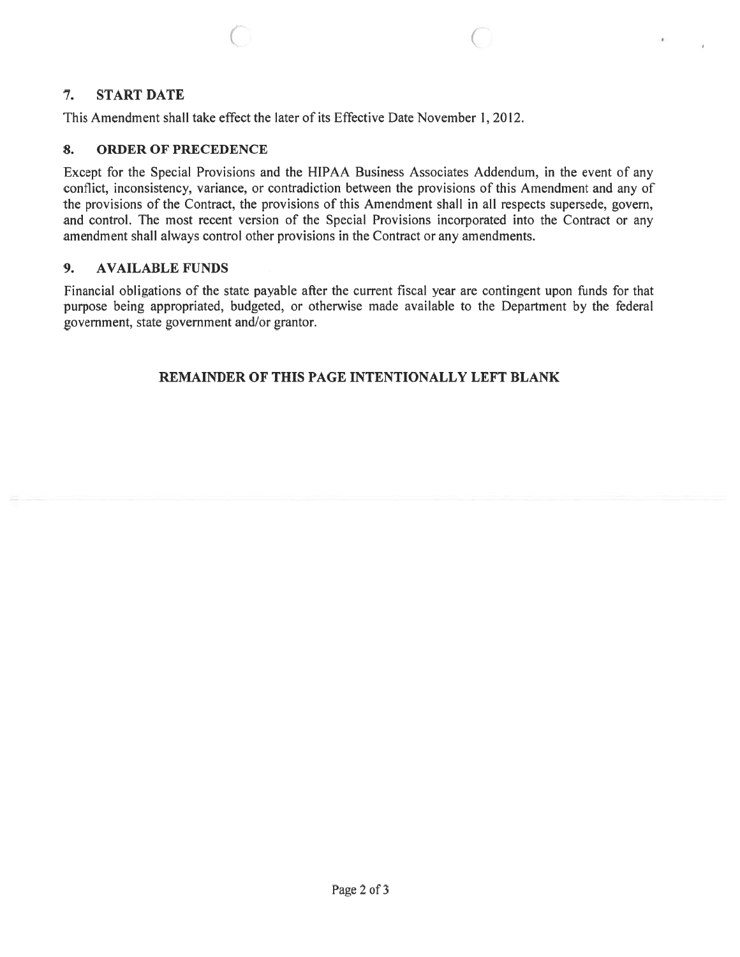# 7. START DATE

This Amendment shall take effect the later of its Effective Date November 1,2012.

# 8. ORDER OF PRECEDENCE

Except for the Special Provisions and the HTPAA Business Associates Addendum, in the event of any conflict, inconsistency, variance, or contradiction between the provisions of this Amendment and any of the provisions of the Contract, the provisions of this Amendment shall in all respects supersede, govern, and control. The most recent version of the Special Provisions incorporated into the Contract or any amendment shall always control other provisions in the Contract or any amendments.

 $\circ$   $\circ$   $\circ$   $\circ$ 

### 9. AVAILABLE FUNDS

Financial obligations of the state payable after the current fiscal year are contingent upon funds for that purpose being appropriated, budgeted, or otherwise made available to the Department by the federal government, state governmen<sup>t</sup> and/or grantor.

# REMAINDER OF THIS PAGE INTENTIONALLY LEFT BLANK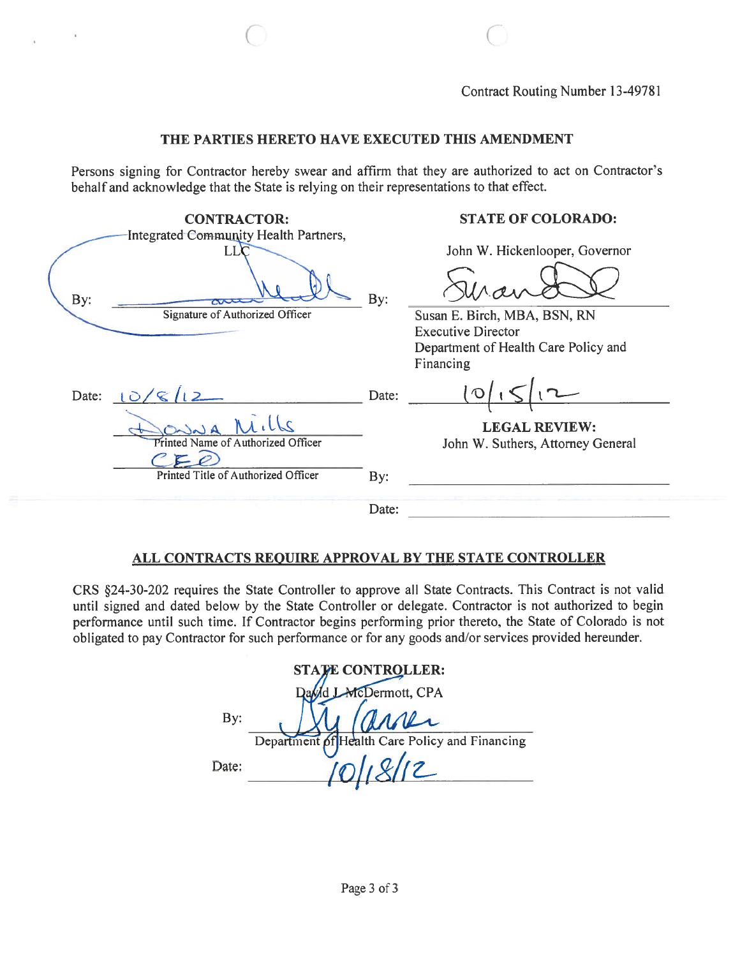## THE PARTIES HERETO HAVE EXECUTED THIS AMENDMENT

 $\bigcirc$  contracts to  $\bigcirc$ 

Persons signing for Contractor hereby swear and affirm that they are authorized to act on Contractor's behalf and acknowledge that the State is relying on their representations to that effect.

| <b>CONTRACTOR:</b> |                                       |       | <b>STATE OF COLORADO:</b>            |  |
|--------------------|---------------------------------------|-------|--------------------------------------|--|
|                    | Integrated Community Health Partners, |       |                                      |  |
|                    | LLC                                   |       | John W. Hickenlooper, Governor       |  |
| By:                |                                       | By:   |                                      |  |
|                    | Signature of Authorized Officer       |       | Susan E. Birch, MBA, BSN, RN         |  |
|                    |                                       |       | <b>Executive Director</b>            |  |
|                    |                                       |       | Department of Health Care Policy and |  |
|                    |                                       |       | Financing                            |  |
|                    | Date: $\lfloor \circ \rangle$         | Date: | $\mathcal{O}$                        |  |
|                    | dille                                 |       | <b>LEGAL REVIEW:</b>                 |  |
|                    | Printed Name of Authorized Officer    |       | John W. Suthers, Attorney General    |  |
|                    |                                       |       |                                      |  |
|                    | Printed Title of Authorized Officer   | By:   |                                      |  |
|                    |                                       | Date: |                                      |  |
|                    |                                       |       |                                      |  |

## ALL CONTRACTS REQUIRE APPROVAL BY THE STATE CONTROLLER

CRS §24-30-202 requires the State Controller to approve all State Contracts. This Contract is not valid until signed and dated below by the State Controller or delegate. Contractor is not authorized to begin performance until such time. If Contractor begins performing prior thereto, the State of Colorado is not obligated to pay Contractor for such performance or for any goods and/or services provided hereunder.

| STATE CONTROLLER:     |                                                |  |  |  |
|-----------------------|------------------------------------------------|--|--|--|
| David LMcDermott, CPA |                                                |  |  |  |
| By:                   | Caroli                                         |  |  |  |
|                       | Department of Health Care Policy and Financing |  |  |  |
| Date:                 |                                                |  |  |  |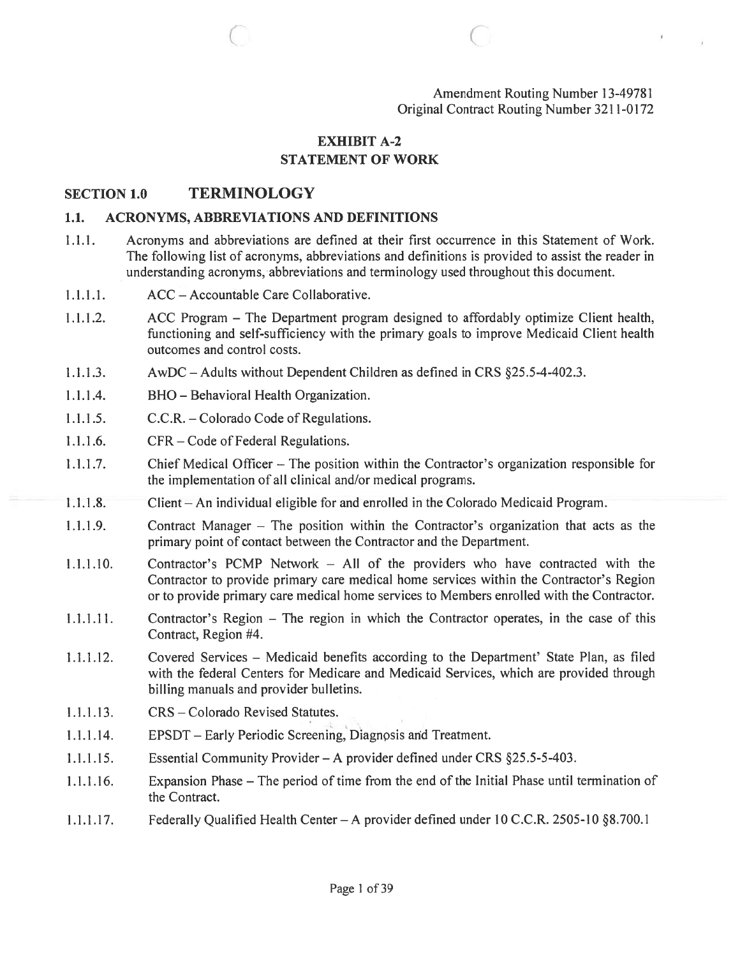Amendment Routing Number 13-49781 Original Contract Routing Number 3211-0172

## EXHIBIT A-2 STATEMENT OF WORK

 $\begin{array}{ccc} \circ & \circ & \circ \end{array}$ 

## SECTION 1.0 TERMINOLOGY

### 1.1. ACRONYMS, ABBREVIATIONS AND DEFINITIONS

- 1.1.1. Acronyms and abbreviations are defined at their first occurrence in this Statement of Work. The following list of acronyms, abbreviations and definitions is provided to assist the reader in understanding acronyms, abbreviations and terminology used throughout this document.
- 1.1.1.1. ACC Accountable Care Collaborative.
- 1.1.1 .2. ACC Program The Department program designed to affordably optimize Client health, functioning and self-sufficiency with the primary goals to improve Medicaid Client health outcomes and control costs.
- 1.1.1.3. AwDC Adults without Dependent Children as defined in CRS §25.5-4-402.3.
- 1.1.1.4. BHO Behavioral Health Organization.
- 1.1.1.5. C.C.R. —Colorado Code of Regulations.
- 1.1.1.6. CFR Code of Federal Regulations.
- 1.1.1.7. Chief Medical Officer The position within the Contractor's organization responsible for the implementation of all clinical and/or medical programs.
- 1.1.1.8. Client—An individual eligible for and enrolled in the Colorado Medicaid Program.
- 1.1.1.9. Contract Manager The position within the Contractor's organization that acts as the primary point of contact between the Contractor and the Department.
- 1.1.1.10. Contractor's PCMP Network All of the providers who have contracted with the Contractor to provide primary care medical home services within the Contractor's Region or to provide primary care medical home services to Members enrolled with the Contractor.
- 1.1.1.11. Contractor's Region The region in which the Contractor operates, in the case of this Contract, Region #4.
- 1.1.1.12. Covered Services Medicaid benefits according to the Department' State Plan, as filed with the federal Centers for Medicare and Medicaid Services, which are provided through billing manuals and provider bulletins.
- 1.1.1.13. CRS—Colorado Revised Statutes.
- 1.1.1.14. EPSDT Early Periodic Screening, Diagnosis and Treatment.
- 1.1.1.15. Essential Community Provider A provider defined under CRS §25.5-5-403.
- 1.1 .1 .16. Expansion Phase The period of time from the end of the Initial Phase until termination of the Contract.
- 1.1.1.17. Federally Qualified Health Center—A providerdefined under 10 C.C.R. 2505-10 §8.700.1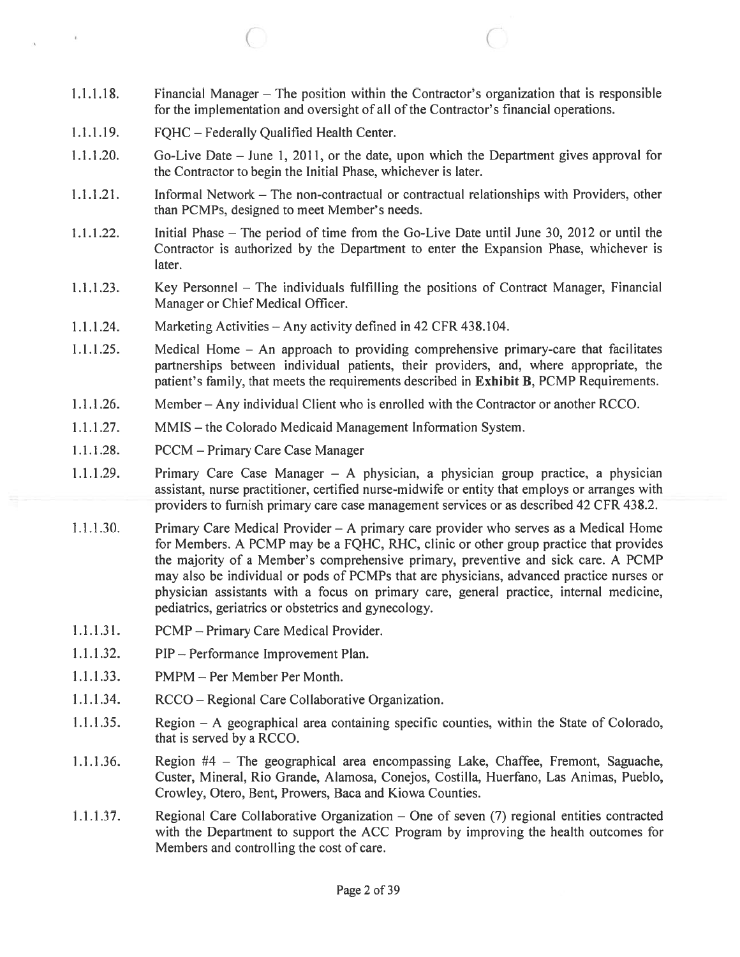1.1.1.18. Financial Manager — The position within the Contractor's organization that is responsible for the implementation and oversight of all of the Contractor's financial operations.

 $\circ$  C

1.1.1 .19. FQHC — Federally Qualified Health Center.

 $\epsilon$ 

- 1.1.1 .20. Go-Live Date June 1, 2011, or the date, upon which the Department gives approval for the Contractor to begin the Initial Phase, whichever is later.
- 1.1.1.21. Informal Network The non-contractual or contractual relationships with Providers, other than PCMPs, designed to meet Member's needs.
- 1.1.1.22. Initial Phase The period of time from the Go-Live Date until June 30, 2012 or until the Contractor is authorized by the Department to enter the Expansion Phase, whichever is later.
- 1.1.1 .23. Key Personnel The individuals fulfilling the positions of Contract Manager, Financial Manager or Chief Medical Officer.
- 1.1.1.24. Marketing Activities Any activity defined in 42 CFR 438.104.
- 1.1.1.25. Medical Home An approach to providing comprehensive primary-care that facilitates partnerships between individual patients, their providers, and, where appropriate, the patient's family, that meets the requirements described in Exhibit B, PCMP Requirements.
- 1.1.1.26. Member Any individual Client who is enrolled with the Contractor or another RCCO.
- 1.1.1.27. MMIS —the Colorado Medicaid Management Information System.
- 1.1.1.28. PCCM Primary Care Case Manager
- 1.1.1.29. Primary Care Case Manager A physician, <sup>a</sup> physician group practice, <sup>a</sup> physician assistant, nurse practitioner, certified nurse-midwife or entity that employs or arranges with providers to furnish primary care case managemen<sup>t</sup> services or as described 42 CFR 438.2.
- 1.1.1.30. Primary Care Medical Provider A primary care provider who serves as <sup>a</sup> Medical Home for Members. A PCMP may be <sup>a</sup> FQHC, RHC, clinic or other group practice that provides the majority of <sup>a</sup> Member's comprehensive primary, preventive and sick care. A PCMP may also be individual or pods of PCMPs that are physicians, advanced practice nurses or physician assistants with <sup>a</sup> focus on primary care, general practice, internal medicine, pediatrics, geriatrics or obstetrics and gynecology.
- 1.1.1.31. PCMP Primary Care Medical Provider.
- 1.1.1.32. PIP Performance Improvement Plan.
- 1.1.1.33. PMPM Per Member Per Month.
- 1.1.1.34. RCCO Regional Care Collaborative Organization.
- 1.1.1.35. Region A geographical area containing specific counties, within the State of Colorado, that is served by <sup>a</sup> RCCO.
- 1.1.1.36. Region #4 The geographical area encompassing Lake, Chaffee, Fremont, Saguache, Custer, Mineral, Rio Grande, Alarnosa, Conejos, Costilla, Huerfano, Las Animas, Pueblo, Crowley, Otero, Bent, Prowers, Baca and Kiowa Counties.
- 1.1.1.37. Regional Care Collaborative Organization One of seven (7) regional entities contracted with the Department to suppor<sup>t</sup> the ACC Program by improving the health outcomes for Members and controlling the cost of care.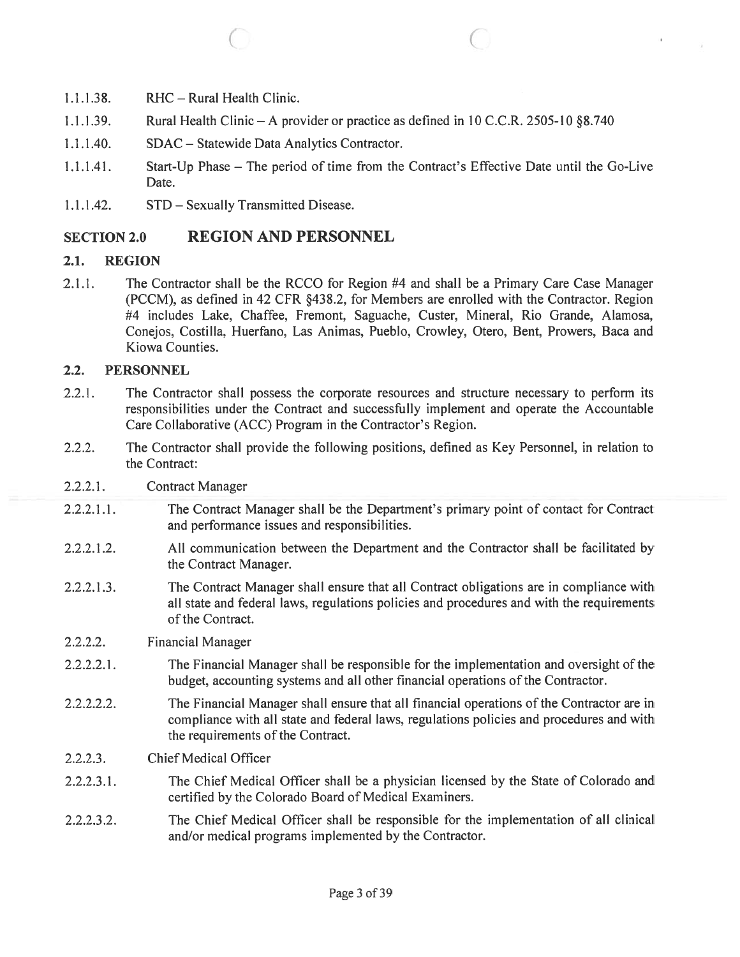1.1.1.38. RHC—Rural Health Clinic.

- 1.1.1.39. Rural Health Clinic—A provider or practice as defined in 10 C.C.R. 2505-10 §8.740
- 1.1.1.40. SDAC Statewide Data Analytics Contractor.
- 1.1.1.41. Start-Up Phase The period of time from the Contract's Effective Date until the Go-Live Date.

 $\circ$  C  $\circ$  C  $\circ$  C  $\circ$  C  $\circ$  C  $\circ$  C  $\circ$  C  $\circ$  C  $\circ$  C  $\circ$  C  $\circ$  C  $\circ$  C  $\circ$  C  $\circ$  C  $\circ$  C  $\circ$  C  $\circ$  C  $\circ$  C  $\circ$  C  $\circ$  C  $\circ$  C  $\circ$  C  $\circ$  C  $\circ$  C  $\circ$  C  $\circ$  C  $\circ$  C  $\circ$  C  $\circ$  C  $\circ$  C  $\circ$  C  $\circ$ 

1.1.1.42. STD — Sexually Transmitted Disease.

## SECTION 2.0 REGION AND PERSONNEL

## 2.1. REGION

2.1.1. The Contractor shall be the RCCO for Region #4 and shall be <sup>a</sup> Primary Care Case Manager (PCCM), as defined in 42 CFR §438.2, for Members are enrolled with the Contractor. Region #4 includes Lake, Chaffee, Fremont, Saguache, Custer, Mineral, Rio Grande, Alamosa, Conejos, Costilla, Huerfano, Las Animas, Pueblo, Crowley, Otero, Bent, Prowers, Baca and Kiowa Counties.

## 2.2. PERSONNEL

- 2.2.1. The Contractor shall possess the corporate resources and structure necessary to perform its responsibilities under the Contract and successfully implement and operate the Accountable Care Collaborative (ACC) Program in the Contractor's Region.
- 2.2.2. The Contractor shall provide the following positions, defined as Key Personnel, in relation to the Contract:

### 2.2.2.1. Contract Manager

- 2.2.2.1.1. The Contract Manager shall be the Department's primary point of contact for Contract and performance issues and responsibilities.
- 2.2.2.1.2. All communication between the Department and the Contractor shall be facilitated by the Contract Manager.
- 2.2.2.1.3. The Contract Manager shall ensure that all Contract obligations are in compliance with all state and federal laws, regulations policies and procedures and with the requirements of the Contract.

### 2.2.2.2. Financial Manager

- 2.2.2.2.1. The Financial Manager shall be responsible for the implementation and oversight of the budget, accounting systems and all other financial operations of the Contractor.
- 2.2.2.2.2. The Financial Manager shall ensure that all financial operations ofthe Contractor are in compliance with all state and federal laws, regulations policies and procedures and with the requirements of the Contract.
- 2.2.2.3. Chief Medical Officer
- 2.2.2.3.1. The Chief Medical Officer shall be <sup>a</sup> physician licensed by the State of Colorado and certified by the Colorado Board of Medical Examiners.
- 2.2.2.3.2. The Chief Medical Officer shall be responsible for the implementation of all clinical and/or medical programs implemented by the Contractor.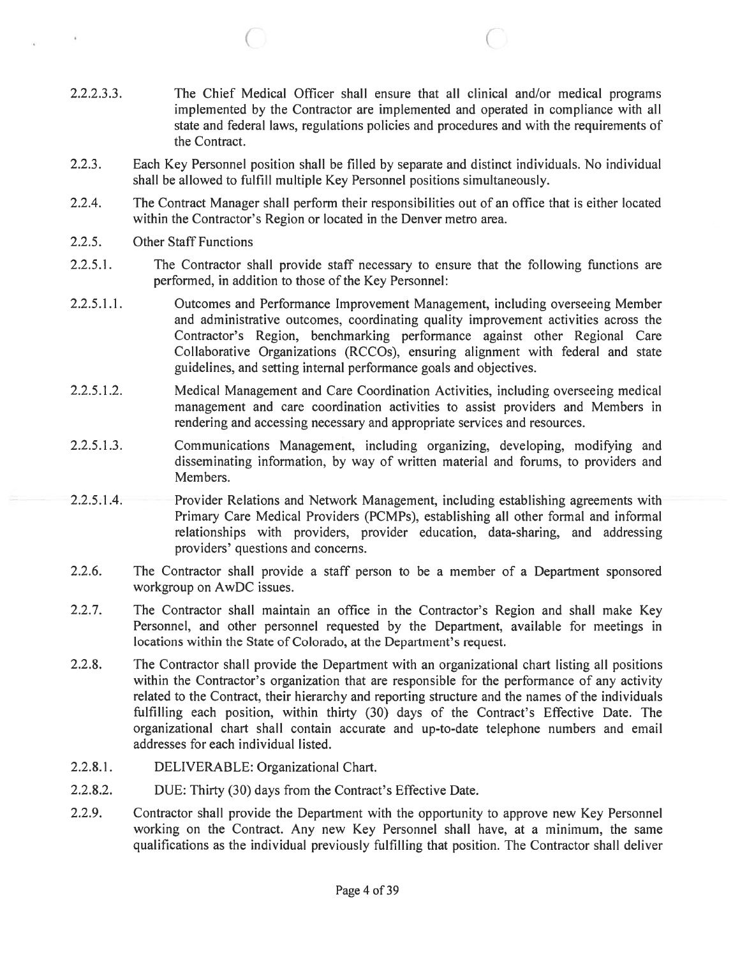2.2.2.3.3. The Chief Medical Officer shall ensure that all clinical and/or medical programs implemented by the Contractor are implemented and operated in compliance with all state and federal laws, regulations policies and procedures and with the requirements of the Contract.

 $\circ$  c

- 2.2.3. Each Key Personnel position shall be filled by separate and distinct individuals. No individual shall be allowed to fulfill multiple Key Personnel positions simultaneously.
- 2.2.4. The Contract Manager shall perform their responsibilities out of an office that is either located within the Contractor's Region or located in the Denver metro area.
- 2.2.5. Other Staff Functions

 $\tilde{\Delta}$ 

- 2.2.5.1. The Contractor shall provide staff necessary to ensure that the following functions are performed, in addition to those of the Key Personnel:
- 2.2.5.1.1. Outcomes and Performance Improvement Management, including overseeing Member and administrative outcomes, coordinating quality improvement activities across the Contractor's Region, benchmarking performance against other Regional Care Collaborative Organizations (RCCOs), ensuring alignment with federal and state guidelines, and setting internal performance goals and objectives.
- 2.2.5.1.2. Medical Management and Care Coordination Activities, including overseeing medical managemen<sup>t</sup> and care coordination activities to assist providers and Members in rendering and accessing necessary and appropriate services and resources.
- 2.2.5.1.3. Communications Management, including organizing, developing, modifying and disseminating information, by way of written material and forums, to providers and Members.
- 2.2.5.1.4. Provider Relations and Network Management, including establishing agreements with Primary Care Medical Providers (PCMPs), establishing all other formal and informal relationships with providers, provider education, data-sharing, and addressing providers' questions and concerns.
- 2.2.6. The Contractor shall provide <sup>a</sup> staff person to be <sup>a</sup> member of <sup>a</sup> Department sponsored workgroup on AwDC issues.
- 2.2.7. The Contractor shall maintain an office in the Contractor's Region and shall make Key Personnel, and other personnel requested by the Department, available for meetings in locations within the State of Colorado, at the Department's request.
- 2.2.8. The Contractor shall provide the Department with an organizational chart listing all positions within the Contractor's organization that are responsible for the performance of any activity related to the Contract, their hierarchy and reporting structure and the names of the individuals fulfilling each position, within thirty (30) days of the Contract's Effective Date. The organizational chart shall contain accurate and up-to-date telephone numbers and email addresses for each individual listed.
- 2.2.8.1. DELIVERABLE: Organizational Chart.
- 2.2.8.2. DUE: Thirty (30) days from the Contract's Effective Date.
- 2.2.9. Contractor shall provide the Department with the opportunity to approve new Key Personnel working on the Contract. Any new Key Personnel shall have, at <sup>a</sup> minimum, the same qualifications as the individual previously fulfilling that position. The Contractor shall deliver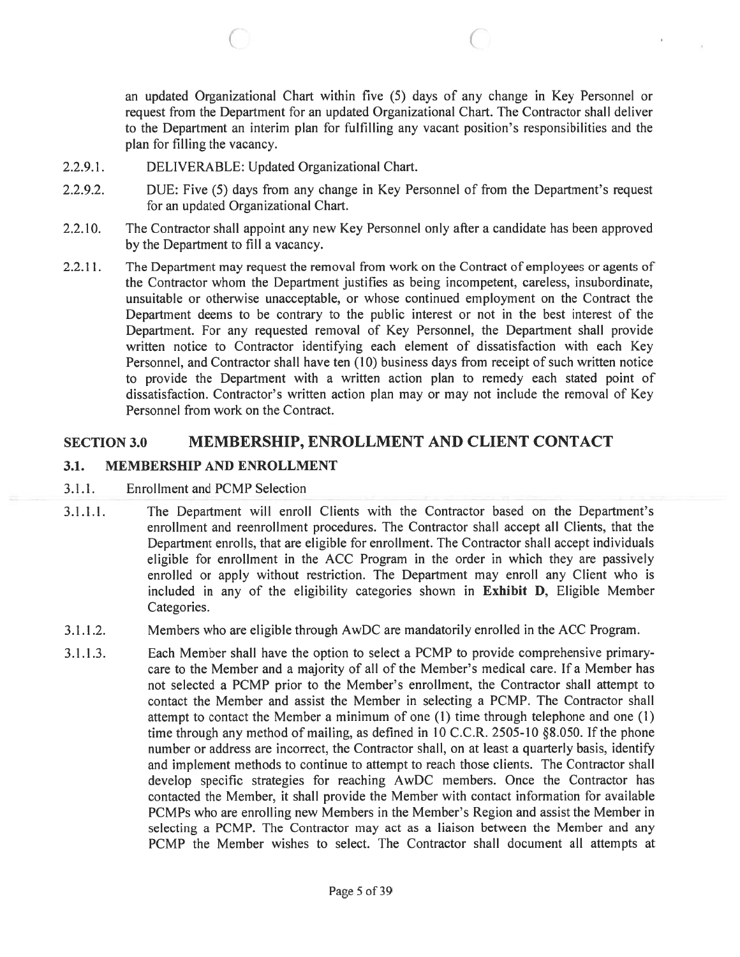an updated Organizational Chart within five (5) days of any change in Key Personnel or reques<sup>t</sup> from the Department for an updated Organizational Chart. The Contractor shall deliver to the Department an interim plan for fulfilling any vacant position's responsibilities and the plan for filling the vacancy.

- 2.2.9.1. DELIVERABLE: Updated Organizational Chart.
- 2.2.9.2. DUE: Five (5) days from any change in Key Personnel of from the Department's reques<sup>t</sup> for an updated Organizational Chart.

 $\circ$  c

- 2.2.10. The Contractor shall appoint any new Key Personnel only after <sup>a</sup> candidate has been approved by the Department to fill <sup>a</sup> vacancy.
- 2.2.11. The Department may reques<sup>t</sup> the removal from work on the Contract of employees or agents of the Contractor whom the Department justifies as being incompetent, careless, insubordinate, unsuitable or otherwise unacceptable, or whose continued employment on the Contract the Department deems to be contrary to the public interest or not in the best interest of the Department. For any requested removal of Key Personnel, the Department shall provide written notice to Contractor identifying each element of dissatisfaction with each Key Personnel, and Contractor shall have ten (10) business days from receipt of such written notice to provide the Department with <sup>a</sup> written action plan to remedy each stated point of dissatisfaction. Contractor's written action plan may or may not include the removal of Key Personnel from work on the Contract.

# SECTION 3.0 MEMBERSHIP, ENROLLMENT AND CLIENT CONTACT

# 3.1. MEMBERSHIP AND ENROLLMENT

- 3.1.1. Enrollment and PCMP Selection
- 3.1.1.1. The Department will enroll Clients with the Contractor based on the Department's enrollment and reenrollment procedures. The Contractor shall accep<sup>t</sup> all Clients, that the Department enrolls, that are eligible for enrollment. The Contractor shall accep<sup>t</sup> individuals eligible for enrollment in the ACC Program in the order in which they are passively enrolled or apply without restriction. The Department may enroll any Client who is included in any of the eligibility categories shown in Exhibit B, Eligible Member Categories.
- 3.1.1.2. Members who are eligible through AwDC are mandatorily enrolled in the ACC Program.
- 3.1.1.3. Each Member shall have the option to select <sup>a</sup> PCMP to provide comprehensive primarycare to the Member and <sup>a</sup> majority of all of the Member's medical care. If <sup>a</sup> Member has not selected <sup>a</sup> PCMP prior to the Member's enrollment, the Contractor shall attempt to contact the Member and assist the Member in selecting <sup>a</sup> PCMP. The Contractor shall attempt to contact the Member <sup>a</sup> minimum of one (1) time through telephone and one (1) time through any method of mailing, as defined in 10 C.C.R. 2505-10 §8.050. If the phone number or address are incorrect, the Contractor shall, on at least <sup>a</sup> quarterly basis, identify and implement methods to continue to attempt to reach those clients. The Contractor shall develop specific strategies for reaching AwDC members. Once the Contractor has contacted the Member, it shall provide the Member with contact information for available PCMPs who are enrolling new Members in the Member's Region and assist the Member in selecting <sup>a</sup> PCMP. The Contractor may act as <sup>a</sup> liaison between the Member and any PCMP the Member wishes to select. The Contractor shall document all attempts at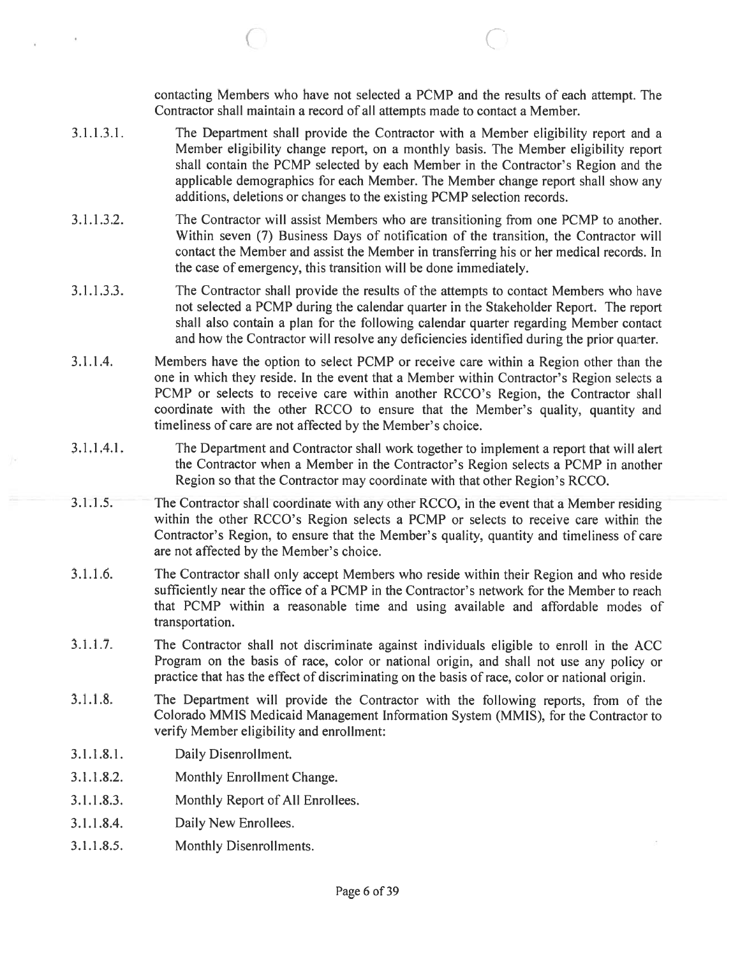contacting Members who have not selected <sup>a</sup> PCMP and the results of each attempt. The Contractor shall maintain <sup>a</sup> record of all attempts made to contact <sup>a</sup> Member.

 $\bigl(\bigl(\begin{array}{c} 1 \\ 1 \end{array}\bigr)$ 

- 3.1.1.3.1. The Department shall provide the Contractor with <sup>a</sup> Member eligibility repor<sup>t</sup> and <sup>a</sup> Member eligibility change report, on <sup>a</sup> monthly basis. The Member eligibility repor<sup>t</sup> shall contain the PCMP selected by each Member in the Contractor's Region and the applicable demographics for each Member. The Member change repor<sup>t</sup> shall show any additions, deletions or changes to the existing PCMP selection records.
- 3.1.1.3.2. The Contractor will assist Members who are transitioning from one PCMP to another. Within seven (7) Business Days of notification of the transition, the Contractor will contact the Member and assist the Member in transferring his or her medical records. In the case of emergency, this transition will be done immediately.
- 3.1.1.3.3. The Contractor shall provide the results of the attempts to contact Members who have not selected <sup>a</sup> PCMP during the calendar quarter in the Stakeholder Report. The repor<sup>t</sup> shall also contain <sup>a</sup> plan for the following calendar quarter regarding Member contact and how the Contractor will resolve any deficiencies identified during the prior quarter.
- 3.1.1.4. Members have the option to select PCMP or receive care within <sup>a</sup> Region other than the one in which they reside. In the event that <sup>a</sup> Member within Contractor's Region selects <sup>a</sup> PCMP or selects to receive care within another RCCO's Region, the Contractor shall coordinate with the other RCCO to ensure that the Member's quality, quantity and timeliness of care are not affected by the Member's choice.
- 3.1.1.4.1. The Department and Contractor shall work together to implement <sup>a</sup> repor<sup>t</sup> that will alert the Contractor when <sup>a</sup> Member in the Contractor's Region selects <sup>a</sup> PCMP in another Region so that the Contractor may coordinate with that other Region's RCCO.
- 3.1.1.5. The Contractor shall coordinate with any other RCCO, in the event that <sup>a</sup> Member residing within the other RCCO's Region selects <sup>a</sup> PCMP or selects to receive care within the Contractor's Region, to ensure that the Member's quality, quantity and timeliness of care are not affected by the Member's choice.
- 3.1.1.6. The Contractor shall only accep<sup>t</sup> Members who reside within their Region and who reside sufficiently near the office of <sup>a</sup> PCMP in the Contractor's network for the Member to reach that PCMP within <sup>a</sup> reasonable time and using available and affordable modes of transportation.
- 3.1.1.7. The Contractor shall not discriminate against individuals eligible to enroll in the ACC Program on the basis of race, color or national origin, and shall not use any policy or practice that has the effect of discriminating on the basis of race, color or national origin.
- 3.1.1.8. The Department will provide the Contractor with the following reports, from of the Colorado MMIS Medicaid Management Information System (MMIS), for the Contractor to verify Member eligibility and enrollment:
- 3.1.1.8.1. Daily Disenrollment.
- 3.1.1.8.2. Monthly Enrollment Change.
- 3.1.1.8.3. Monthly Report of All Enrollees.
- 3.1.1.8.4. Daily New Enrollees.
- 3.1.1.8.5. Monthly Disenrollments.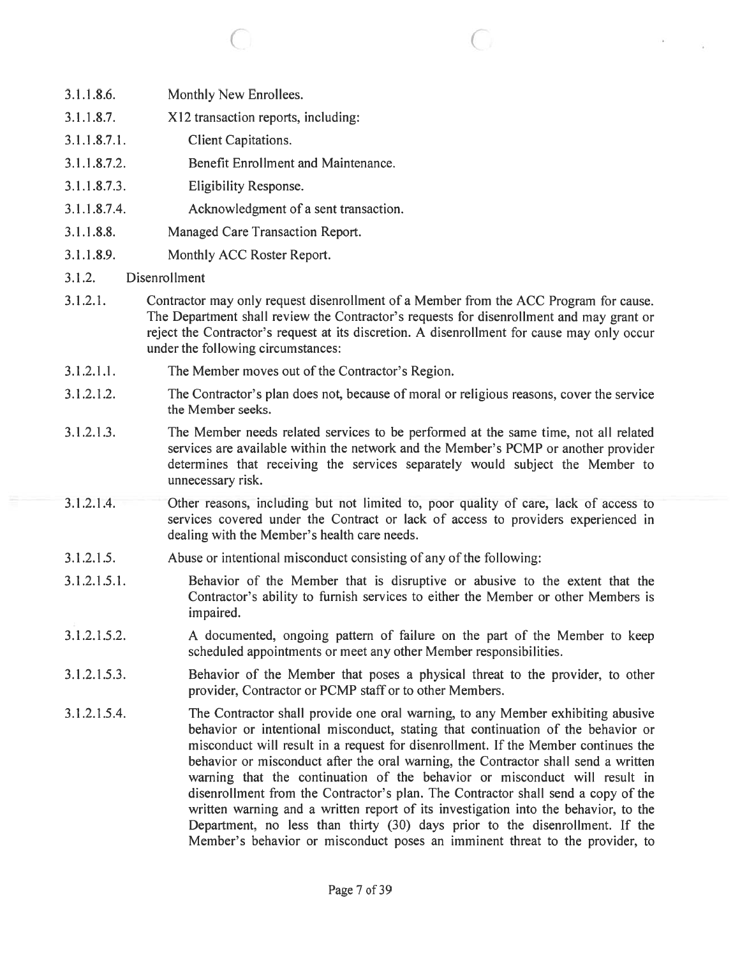- 3.1.1.8.6. Monthly New Enrollees.
- 3.1.1.8.7. X12 transaction reports, including:
- 3.1.1.8.7.1. Client Capitations.
- 3.1.1.8.7.2. Benefit Enrollment and Maintenance.
- 3.1.1.8.7.3. Eligibility Response.
- 3.1.1.8.7.4. Acknowledgment of <sup>a</sup> sent transaction.
- 3.1.1.8.8. Managed Care Transaction Report.
- 3.1.1.8.9. Monthly ACC Roster Report.
- 3.1.2. Disenroliment
- 3.1.2.1. Contractor may only reques<sup>t</sup> disenroliment of <sup>a</sup> Member from the ACC Program for cause. The Department shall review the Contractor's requests for disenroliment and may gran<sup>t</sup> or reject the Contractor's reques<sup>t</sup> at its discretion. A disenroliment for cause may only occur under the following circumstances:

 $\overline{\begin{array}{ccc} \text{C} & \text{C} & \text{C} \end{array}}$ 

- 3.1.2.1.1. The Member moves out of the Contractor's Region.
- 3.1.2.1.2. The Contractor's plan does not, because of moral or religious reasons, cover the service the Member seeks.
- 3.1.2.1.3. The Member needs related services to be performed at the same time, not all related services are available within the network and the Member's PCMP or another provider determines that receiving the services separately would subject the Member to unnecessary risk.
- 3.1.2.1.4. Other reasons, including but not limited to, poor quality of care, lack of access to services covered under the Contract or lack of access to providers experienced in dealing with the Member's health care needs.
- 3.1.2.1.5. Abuse or intentional misconduct consisting of any of the following:
- 3.1.2.1.5.1. Behavior of the Member that is disruptive or abusive to the extent that the Contractor's ability to furnish services to either the Member or other Members is impaired.
- 3.1.2.1.5.2. A documented, ongoing pattern of failure on the par<sup>t</sup> of the Member to keep scheduled appointments or meet any other Member responsibilities.
- 3.1.2.1.5.3. Behavior of the Member that poses <sup>a</sup> physical threat to the provider, to other provider, Contractor or PCMP staff or to other Members.
- 3.1.2.1.5.4. The Contractor shall provide one oral warning, to any Member exhibiting abusive behavior or intentional misconduct, stating that continuation of the behavior or misconduct will result in <sup>a</sup> reques<sup>t</sup> for disenroliment. If the Member continues the behavior or misconduct after the oral warning, the Contractor shall send <sup>a</sup> written warning that the continuation of the behavior or misconduct will result in disenroliment from the Contractor's plan. The Contractor shall send <sup>a</sup> copy of the written warning and <sup>a</sup> written repor<sup>t</sup> of its investigation into the behavior, to the Department, no less than thirty (30) days prior to the disenroliment. If the Member's behavior or misconduct poses an imminent threat to the provider, to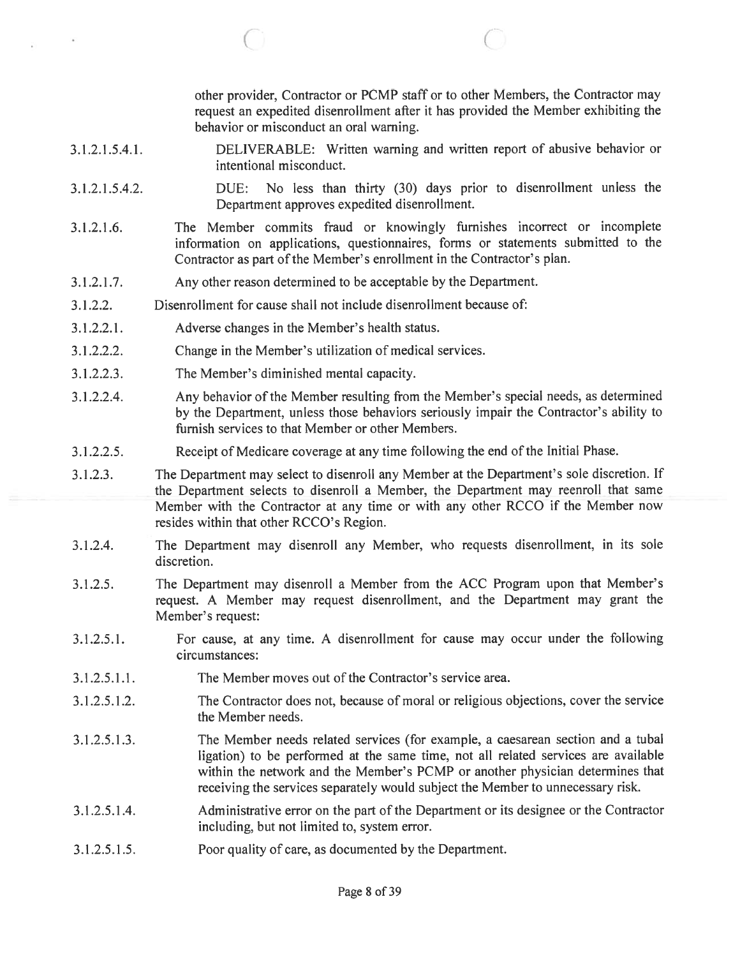other provider, Contractor or PCMP staff or to other Members, the Contractor may reques<sup>t</sup> an expedited disenroliment after it has provided the Member exhibiting the behavior or misconduct an oral warning.

- 31.2.1.5.4.1. DELIVERABLE: Written warning and written repor<sup>t</sup> of abusive behavior or intentional misconduct.
- 3.1.2.1.5.4.2. DUE: No less than thirty (30) days prior to disenrollment unless the Department approves expedited disenrollment.
- 3.1.2.1.6. The Member commits fraud or knowingly furnishes incorrect or incomplete information on applications, questionnaires, forms or statements submitted to the Contractor as part of the Member's enrollment in the Contractor's plan.
- 3.1.2.1.7. Any other reason determined to be acceptable by the Department.
- 3.1.2.2. Disenrollment for cause shall not include disenrollment because of:
- 3.1.2.2.1. Adverse changes in the Member's health status.

C

×.

- 3.1.2.2.2. Change in the Member's utilization of medical services.
- 3.1.2.2.3. The Member's diminished mental capacity.
- 3.1.2.2.4. Any behavior ofthe Member resulting from the Member's special needs, as determined by the Department, unless those behaviors seriously impair the Contractor's ability to furnish services to that Member or other Members.
- 3.1.2.2.5. Receipt of Medicare coverage at any time following the end ofthe Initial Phase.
- 3.1.2.3. The Department may select to disenroll any Member at the Department's sole discretion. If the Department selects to disenroll <sup>a</sup> Member, the Department may reenroll that same Member with the Contractor at any time or with any other RCCO if the Member now resides within that other RCCO's Region.
- 3.1.2.4. The Department may disenroll any Member, who requests disenrollment, in its sole discretion.
- 3.1.2.5. The Department may disenroll <sup>a</sup> Member from the ACC Program upon that Member's request. <sup>A</sup> Member may reques<sup>t</sup> disenrollment, and the Department may gran<sup>t</sup> the Member's request:
- 3.1.2.5.1. For cause, at any time. <sup>A</sup> disenrollment for cause may occur under the following circumstances:
- 3.1.2.5.1.1. The Member moves out of the Contractor's service area.
- 3.1.2.5.1.2. The Contractor does not, because of moral or religious objections, cover the service the Member needs.
- 3.1.2.5.1.3. The Member needs related services (for example, <sup>a</sup> caesarean section and <sup>a</sup> tubal ligation) to be performed at the same time, not all related services are available within the network and the Member's PCMP or another physician determines that receiving the services separately would subject the Member to unnecessary risk.
- 3.1.2.5.1.4. Administrative error on the par<sup>t</sup> of the Department or its designee or the Contractor including, but not limited to, system error.
- 3.1.2.5.1.5. Poor quality of care, as documented by the Department.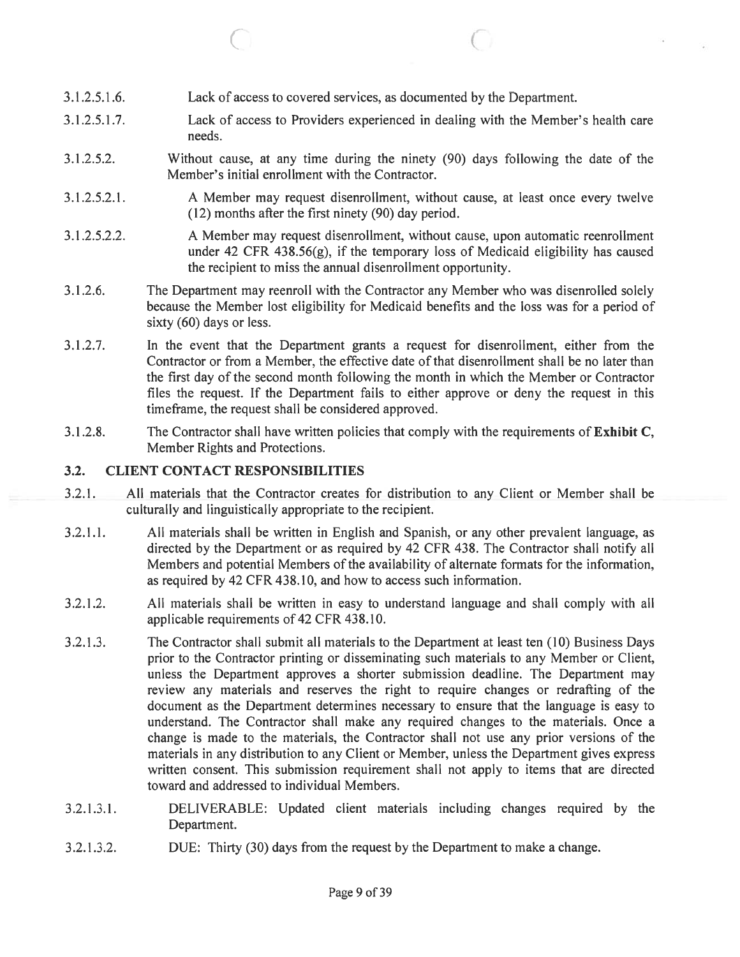- 3.1.2.5.1.6. Lack of access to covered services, as documented by the Department.
- 3.1.2.5.1.7. Lack of access to Providers experienced in dealing with the Member's health care needs.

 $\overline{C}$  contracts to  $\overline{C}$ 

- 3.1.2.5.2. Without cause, at any time during the ninety (90) days following the date of the Member's initial enrollment with the Contractor.
- 3.1.2.5.2.1. A Member may reques<sup>t</sup> disenrollment, without cause, at least once every twelve (12) months after the first ninety (90) day period.
- 3.1.2.5.2.2. A Member may reques<sup>t</sup> disenrollment, without cause, upon automatic reenrollment under 42 CFR 438.56(g), if the temporary loss of Medicaid eligibility has caused the recipient to miss the annual disenrollment opportunity.
- 3.1.2.6. The Department may reenroll with the Contractor any Member who was disenrolled solely because the Member lost eligibility for Medicaid benefits and the loss was for <sup>a</sup> period of sixty (60) days or less.
- 3.1.2.7. In the event that the Department grants <sup>a</sup> reques<sup>t</sup> for disenrollment, either from the Contractor or from a Member, the effective date of that disenrollment shall be no later than the first day of the second month following the month in which the Member or Contractor files the request. If the Department fails to either approve or deny the reques<sup>t</sup> in this timeframe, the reques<sup>t</sup> shall be considered approved.
- 3.1.2.8. The Contractor shall have written policies that comply with the requirements of Exhibit C, Member Rights and Protections.

## 3.2. CLIENT CONTACT RESPONSIBILITIES

- 3.2.1. All materials that the Contractor creates for distribution to any Client or Member shall be culturally and linguistically appropriate to the recipient.
- 3.2.1.1. All materials shall be written in English and Spanish, or any other prevalent language, as directed by the Department or as required by 42 CFR 438. The Contractor shall notify all Members and potential Members of the availability of alternate formats for the information, as required by 42 CFR 438.10, and how to access such information.
- 3.2.1 .2. All materials shall be written in easy to understand language and shall comply with all applicable requirements of 42 CFR 438.10.
- 3.2.1.3. The Contractor shall submit all materials to the Department at least ten (10) Business Days prior to the Contractor printing or disseminating such materials to any Member or Client, unless the Department approves <sup>a</sup> shorter submission deadline. The Department may review any materials and reserves the right to require changes or redrafting of the document as the Department determines necessary to ensure that the language is easy to understand. The Contractor shall make any required changes to the materials. Once <sup>a</sup> change is made to the materials, the Contractor shall not use any prior versions of the materials in any distribution to any Client or Member, unless the Department gives express written consent. This submission requirement shall not apply to items that are directed toward and addressed to individual Members.
- 3.2.1.3.1. DELIVERABLE: Updated client materials including changes required by the Department.
- 3.2.1.3.2. DUE: Thirty (30) days from the reques<sup>t</sup> by the Department to make <sup>a</sup> change.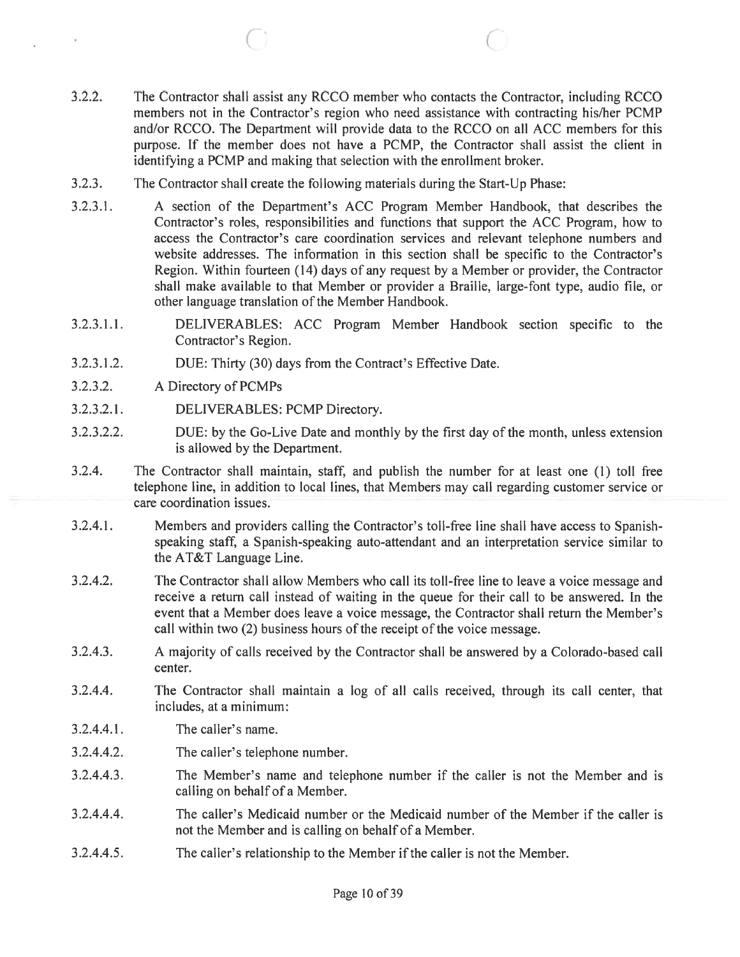3.2.2. The Contractor shall assist any RCCO member who contacts the Contractor, including RCCO members not in the Contractor's region who need assistance with contracting his/her PCMP and/or RCCO. The Department will provide data to the RCCO on all ACC members for this purpose. If the member does not have <sup>a</sup> PCMP, the Contractor shall assist the client in identifying <sup>a</sup> PCMP and making that selection with the enrollment broker.

 $\bigcirc$  contracts to  $\bigcirc$ 

- 3.2.3. The Contractor shall create the following materials during the Start-Up Phase:
- 3.2.3.1. A section of the Department's ACC Program Member Handbook, that describes the Contractor's roles, responsibilities and functions that suppor<sup>t</sup> the ACC Program, how to access the Contractor's care coordination services and relevant telephone numbers and website addresses. The information in this section shall be specific to the Contractor's Region. Within fourteen (14) days of any reques<sup>t</sup> by <sup>a</sup> Member or provider, the Contractor shall make available to that Member or provider <sup>a</sup> Braille, large-font type, audio file, or other language translation of the Member Handbook.
- 3.2.3.1.1. DELIVERABLES: ACC Program Member Handbook section specific to the Contractor's Region.
- 3.2.3.1.2. DUE: Thirty (30) days from the Contract's Effective Date.
- 3.2.3.2. A Directory of PCMPs

 $\bar{\chi}$ 

- 3.2.3.2.1. DELIVERABLES: PCMP Directory.
- 3.2.3.2.2. DUE: by the Go-Live Date and monthly by the first day of the month, unless extension is allowed by the Department.
- 3.2.4. The Contractor shall maintain, staff, and publish the number for at least one (1) toll free telephone line, in addition to local lines, that Members may call regarding customer service or care coordination issues.
- 3.2.4.1. Members and providers calling the Contractor's toll-free line shall have access to Spanishspeaking staff, <sup>a</sup> Spanish-speaking auto-attendant and an interpretation service similar to the AT&T Language Line.
- 3.2.4.2. The Contractor shall allow Members who call its toll-free line to leave <sup>a</sup> voice message and receive <sup>a</sup> return call instead of waiting in the queue for their call to be answered. In the event that <sup>a</sup> Member does leave <sup>a</sup> voice message, the Contractor shall return the Member's call within two (2) business hours of the receipt of the voice message.
- 3.2.4.3. <sup>A</sup> majority of calls received by the Contractor shall be answered by <sup>a</sup> Colorado-based call center.
- 3.2.4.4. The Contractor shall maintain <sup>a</sup> log of all calls received, through its call center, that includes, at <sup>a</sup> minimum:
- 3.2.4.4.1. The caller's name.
- 3.2.4.4.2. The caller's telephone number.
- 3.2.4.4.3. The Member's name and telephone number if the caller is not the Member and is calling on behalf of <sup>a</sup> Member.
- 3.2.4.4.4. The caller's Medicaid number or the Medicaid number of the Member if the caller is not the Member and is calling on behalf of <sup>a</sup> Member.
- 3.2.4.4.5. The caller's relationship to the Member ifthe caller is not the Member.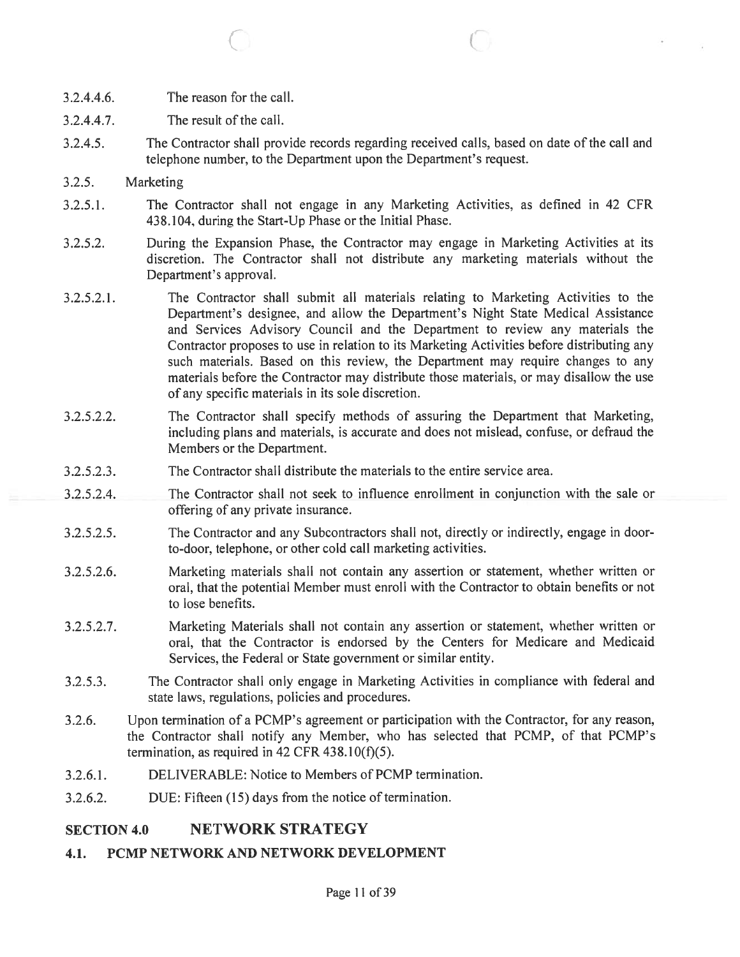- 3.2.4.4.6. The reason for the call.
- 3.2.4.4.7. The result of the call.
- 3.2.4.5. The Contractor shall provide records regarding received calls, based on date of the call and telephone number, to the Department upon the Department's request.

 $\circ$  (

- 3.2.5. Marketing
- 3.2.5.1. The Contractor shall not engage in any Marketing Activities, as defined in 42 CFR 438.104, during the Start-Up Phase or the Initial Phase.
- 3.2.5.2. During the Expansion Phase, the Contractor may engage in Marketing Activities at its discretion. The Contractor shall not distribute any marketing materials without the Department's approval.
- 3.2.5.2.1. The Contractor shall submit all materials relating to Marketing Activities to the Department's designee, and allow the Department's Night State Medical Assistance and Services Advisory Council and the Department to review any materials the Contractor proposes to use in relation to its Marketing Activities before distributing any such materials. Based on this review, the Department may require changes to any materials before the Contractor may distribute those materials, or may disallow the use of any specific materials in its sole discretion.
- 3.2.5.2.2. The Contractor shall specify methods of assuring the Department that Marketing, including plans and materials, is accurate and does not mislead, confuse, or defraud the Members or the Department.
- 3.2.5.2.3. The Contractor shall distribute the materials to the entire service area.
- 3.2.5.2.4. The Contractor shall not seek to influence enrollment in conjunction with the sale or offering of any private insurance.
- 3.2.5.2.5. The Contractor and any Subcontractors shall not, directly or indirectly, engage in doorto-door, telephone, or other cold call marketing activities.
- 3.2.5.2.6. Marketing materials shall not contain any assertion or statement, whether written or oral, that the potential Member must enroll with the Contractor to obtain benefits or not to lose benefits.
- 3.2.5.2.7. Marketing Materials shall not contain any assertion or statement, whether written or oral, that the Contractor is endorsed by the Centers for Medicare and Medicaid Services, the Federal or State governmen<sup>t</sup> or similar entity.
- 3.2.5.3. The Contractor shall only engage in Marketing Activities in compliance with federal and state laws, regulations, policies and procedures.
- 3.2.6. Upon termination of <sup>a</sup> PCMP's agreemen<sup>t</sup> or participation with the Contractor, for any reason, the Contractor shall notify any Member, who has selected that PCMP, of that PCMP's termination, as required in 42 CFR 438.10(f)(5).
- 3.2.6.1. DELIVERABLE: Notice to Members of PCMP termination.
- 3.2.6.2. DUE: Fifteen (15) days from the notice of termination.

## SECTION 4.0 NETWORK STRATEGY

4.1. PCMP NETWORK AND NETWORK DEVELOPMENT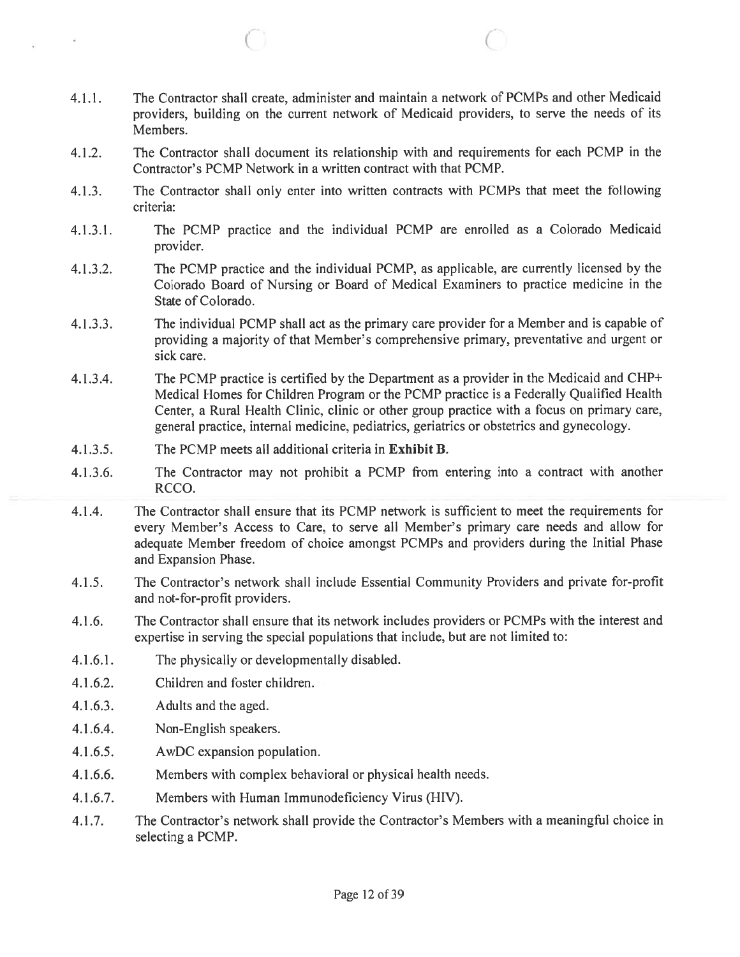4.1.1. The Contractor shall create, administer and maintain <sup>a</sup> network of PCMPs and other Medicaid providers, building on the current network of Medicaid providers, to serve the needs of its Members.

 $\bigcirc$  c

- 4.1.2. The Contractor shall document its relationship with and requirements for each PCMP in the Contractor's PCMP Network in <sup>a</sup> written contract with that PCMP.
- 4.1.3. The Contractor shall only enter into written contracts with PCMPs that meet the following criteria:
- 4.1.3.1. The PCMP practice and the individual PCMP are enrolled as <sup>a</sup> Colorado Medicaid provider.
- 4.1.3.2. The PCMP practice and the individual PCMP, as applicable, are currently licensed by the Colorado Board of Nursing or Board of Medical Examiners to practice medicine in the State of Colorado.
- 4.1.3.3. The individual PCMP shall act as the primary care provider for <sup>a</sup> Member and is capable of providing <sup>a</sup> majority of that Member's comprehensive primary, preventative and urgen<sup>t</sup> or sick care.
- 4.1.3.4. The PCMP practice is certified by the Department as <sup>a</sup> provider in the Medicaid and CHP+ Medical Homes for Children Program or the PCMP practice is <sup>a</sup> Federally Qualified Health Center, <sup>a</sup> Rural Health Clinic, clinic or other group practice with <sup>a</sup> focus on primary care, general practice, internal medicine, pediatrics, geriatrics or obstetrics and gynecology.
- 4.1.3.5. The PCMP meets all additional criteria in Exhibit B.
- 4.1.3.6. The Contractor may not prohibit <sup>a</sup> PCMP from entering into <sup>a</sup> contract with another RCCO.
- 4.1.4. The Contractor shall ensure that its PCMP network is sufficient to meet the requirements for every Member's Access to Care, to serve all Member's primary care needs and allow for adequate Member freedom of choice amongs<sup>t</sup> PCMPs and providers during the Initial Phase and Expansion Phase.
- 4.1.5. The Contractor's network shall include Essential Community Providers and private for-profit and not-for-profit providers.
- 4.1.6. The Contractor shall ensure that its network includes providers or PCMPs with the interest and expertise in serving the special populations that include, but are not limited to:
- 4.1.6.1. The physically or developmentally disabled.
- 4.1.6.2. Children and foster children.
- 4.1.6.3. Adults and the aged.

g)

- 4.1.6.4. Non-English speakers.
- 4.1.6.5. AwDC expansion population.
- 4.1.6.6. Members with complex behavioral or physical health needs.
- 4.1 .6.7. Members with Human Immunodeficiency Virus (HIV).
- 4.1.7. The Contractor's network shall provide the Contractor's Members with <sup>a</sup> meaningful choice in selecting <sup>a</sup> PCMP.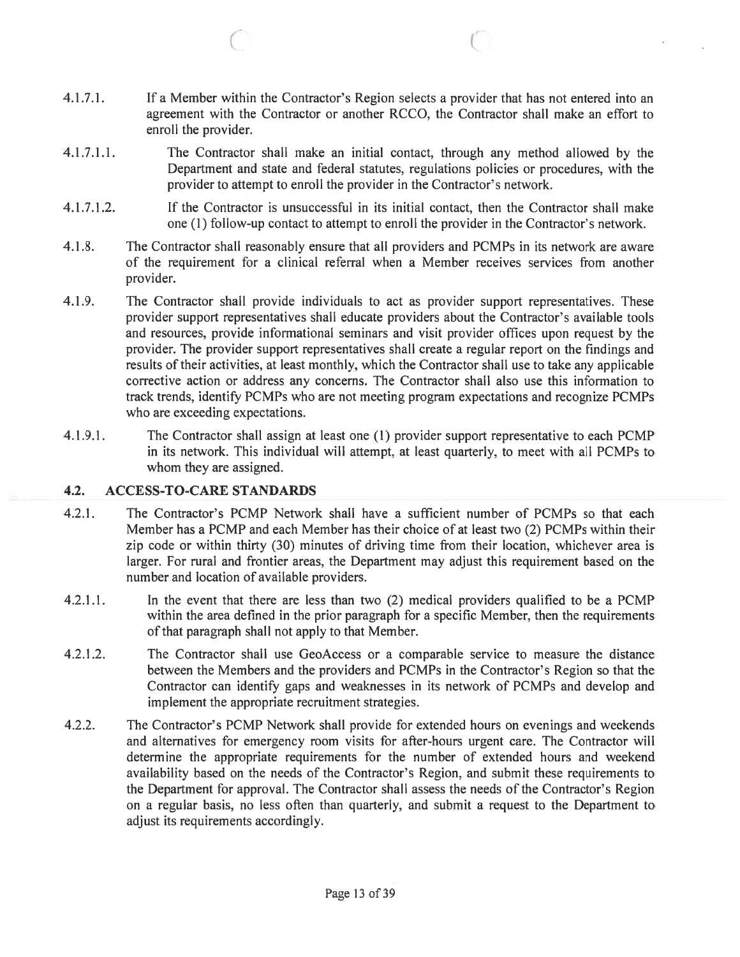- 4.1.7.1. If <sup>a</sup> Member within the Contractor's Region selects <sup>a</sup> provider that has not entered into an agreemen<sup>t</sup> with the Contractor or another RCCO, the Contractor shall make an effort to enroll the provider.
- 4.1.7.1.1. The Contractor shall make an initial contact, through any method allowed by the Department and state and federal statutes, regulations policies or procedures, with the provider to attempt to enroll the provider in the Contractor's network.
- 4.1.7.1.2. If the Contractor is unsuccessful in its initial contact, then the Contractor shall make one (1) follow-up contact to attempt to enroll the provider in the Contractor's network.
- 4.1.8. The Contractor shall reasonably ensure that all providers and PCMPs in its network are aware of the requirement for <sup>a</sup> clinical referral when <sup>a</sup> Member receives services from another provider.
- 4.1.9. The Contractor shall provide individuals to act as provider suppor<sup>t</sup> representatives. These provider suppor<sup>t</sup> representatives shall educate providers about the Contractor's available tools and resources, provide informational seminars and visit provider offices upon reques<sup>t</sup> by the provider. The provider suppor<sup>t</sup> representatives shall create <sup>a</sup> regular repor<sup>t</sup> on the findings and results of their activities, at least monthly, which the Contractor shall use to take any applicable corrective action or address any concerns. The Contractor shall also use this information to track trends, identify PCMPs who are not meeting program expectations and recognize PCMPs who are exceeding expectations.
- 4.1.9.1. The Contractor shall assign at least one (1) provider suppor<sup>t</sup> representative to each PCMP in its network. This individual will attempt, at least quarterly, to meet with all PCMPs to whom they are assigned.

### 4.2. ACCESS-TO-CARE STANDARDS

C

- 4.2.1. The Contractor's PCMP Network shall have <sup>a</sup> sufficient number of PCMPs so that each Member has <sup>a</sup> PCMP and each Member has their choice of at least two (2) PCMPs within their zip code or within thirty (30) minutes of driving time from their location, whichever area is larger. For rural and frontier areas, the Department may adjust this requirement based on the number and location of available providers.
- 4.2.1.1. In the event that there are less than two (2) medical providers qualified to be <sup>a</sup> PCMP within the area defined in the prior paragraph for <sup>a</sup> specific Member, then the requirements of that paragraph shall not apply to that Member.
- 4.2.1.2. The Contractor shall use GeoAccess or <sup>a</sup> comparable service to measure the distance between the Members and the providers and PCMPs in the Contractor's Region so that the Contractor can identify gaps and weaknesses in its network of PCMPs and develop and implement the appropriate recruitment strategies.
- 4.2.2. The Contractor's PCMP Network shall provide for extended hours on evenings and weekends and alternatives for emergency room visits for after-hours urgen<sup>t</sup> care. The Contractor will determine the appropriate requirements for the number of extended hours and weekend availability based on the needs of the Contractor's Region, and submit these requirements to the Department for approval. The Contractor shall assess the needs of the Contractor's Region on <sup>a</sup> regular basis, no less often than quarterly, and submit <sup>a</sup> reques<sup>t</sup> to the Department to adjust its requirements accordingly.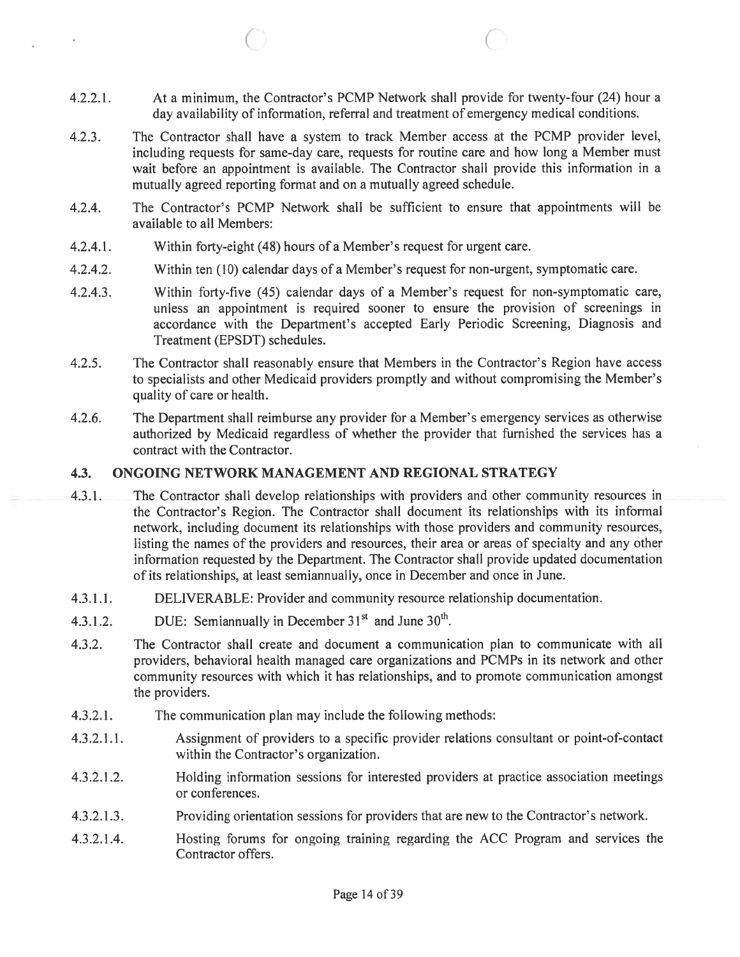4.2.2.1. At <sup>a</sup> minimum, the Contractor's PCMP Network shall provide for twenty-four (24) hour <sup>a</sup> day availability of information, referral and treatment of emergency medical conditions.

 $\circ$  (

- 4.2.3. The Contractor shall have <sup>a</sup> system to track Member access at the PCMP provider level, including requests for same-day care, requests for routine care and how long <sup>a</sup> Member must wait before an appointment is available. The Contractor shall provide this information in <sup>a</sup> mutually agreed reporting format and on <sup>a</sup> mutually agreed schedule.
- 4.2.4. The Contractor's PCMP Network shall be sufficient to ensure that appointments will be available to all Members:
- 4.2.4.1. Within forty-eight (48) hours of <sup>a</sup> Member's reques<sup>t</sup> for urgen<sup>t</sup> care.
- 4.2.4.2. Within ten (10) calendar days of <sup>a</sup> Member's reques<sup>t</sup> for non-urgent, symptomatic care.
- 4.2.4.3. Within forty-five (45) calendar days of <sup>a</sup> Member's reques<sup>t</sup> for non-symptomatic care, unless an appointment is required sooner to ensure the provision of screenings in accordance with the Department's accepted Early Periodic Screening, Diagnosis and Treatment (EPSDT) schedules.
- 4.2.5. The Contractor shall reasonably ensure that Members in the Contractor's Region have access to specialists and other Medicaid providers promptly and without compromising the Member's quality of care or health.
- 4.2.6. The Department shall reimburse any provider for <sup>a</sup> Member's emergency services as otherwise authorized by Medicaid regardless of whether the provider that furnished the services has <sup>a</sup> contract with the Contractor.

## 4.3. ONGOING NETWORK MANAGEMENT AND REGIONAL STRATEGY

- 4.3.1. The Contractor shall develop relationships with providers and other community resources in the Contractor's Region. The Contractor shall document its relationships with its informal network, including document its relationships with those providers and community resources, listing the names of the providers and resources, their area or areas of specialty and any other information requested by the Department. The Contractor shall provide updated documentation of its relationships, at least semiannually, once in December and once in June.
- 4.3.1.1. DELIVERABLE: Provider and community resource relationship documentation.
- 4.3.1.2. DUE: Semiannually in December  $31<sup>st</sup>$  and June  $30<sup>th</sup>$ .
- 4.3.2. The Contractor shall create and document <sup>a</sup> communication plan to communicate with all providers, behavioral health managed care organizations and PCMPs in its network and other community resources with which it has relationships, and to promote communication amongs<sup>t</sup> the providers.
- 4.3.2.1. The communication plan may include the following methods:
- 4.3.2.1.1. Assignment of providers to <sup>a</sup> specific provider relations consultant or point-of-contact within the Contractor's organization.
- 4.3.2.1.2. Holding information sessions for interested providers at practice association meetings or conferences.
- 4.3.2.1.3. Providing orientation sessions for providers that are new to the Contractor's network.
- 4.3.2.1.4. Hosting forums for ongoing training regarding the ACC Program and services the Contractor offers.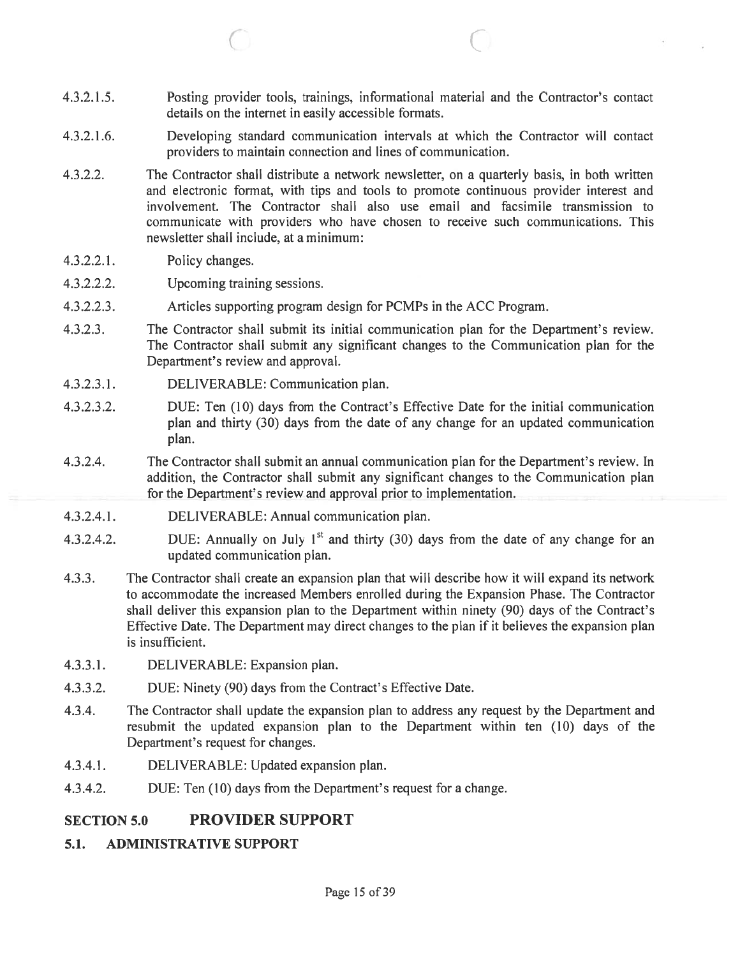4.3.2.1.5. Posting provider tools, trainings, informational material and the Contractor's contact details on the internet in easily accessible formats.

C C

- 4.3.2.1.6. Developing standard communication intervals at which the Contractor will contact providers to maintain connection and lines of communication.
- 4.3.2.2. The Contractor shall distribute <sup>a</sup> network newsletter, on <sup>a</sup> quarterly basis, in both written and electronic format, with tips and tools to promote continuous provider interest and involvement. The Contractor shall also use email and facsimile transmission to communicate with providers who have chosen to receive such communications. This newsletter shall include, at <sup>a</sup> minimum:
- 4.3.2.2.1. Policy changes.
- 4.3.2.2.2. Upcoming training sessions.
- 4.3 .2.2.3. Articles supporting program design for PCMPs in the ACC Program.
- 4.3.2.3. The Contractor shall submit its initial communication plan for the Department's review. The Contractor shall submit any significant changes to the Communication plan for the Department's review and approval.
- 4.3.2.3.1. DELIVERABLE: Communication plan.
- 4.3.2.3.2. DUE: Ten (10) days from the Contract's Effective Date for the initial communication plan and thirty (30) days from the date of any change for an updated communication plan.
- 4.3.2.4. The Contractor shall submit an annual communication plan for the Department's review. In addition, the Contractor shall submit any significant changes to the Communication plan for the Department's review and approval prior to implementation.
- 4.3.2.4.1. DELIVERABLE: Annual communication plan.
- 4.3.2.4.2. DUE: Annually on July 1<sup>st</sup> and thirty (30) days from the date of any change for an updated communication plan.
- 4.3.3. The Contractor shall create an expansion plan that will describe how it will expand its network to accommodate the increased Members enrolled during the Expansion Phase. The Contractor shall deliver this expansion plan to the Department within ninety (90) days of the Contract's Effective Date. The Department may direct changes to the plan if it believes the expansion plan is insufficient.
- 4.3.3.1. DELIVERABLE: Expansion plan.
- 4.3.3.2. DUE: Ninety (90) days from the Contract's Effective Date.
- 4.3.4. The Contractor shall update the expansion plan to address any reques<sup>t</sup> by the Department and resubmit the updated expansion plan to the Department within ten (10) days of the Department's reques<sup>t</sup> for changes.
- 4.3.4.1. DELIVERABLE: Updated expansion plan.
- 4.3.4.2. DUE: Ten (10) days from the Department's reques<sup>t</sup> for <sup>a</sup> change.

### SECTION 5.0 PROVIDER SUPPORT

5.1. ADMINISTRATIVE SUPPORT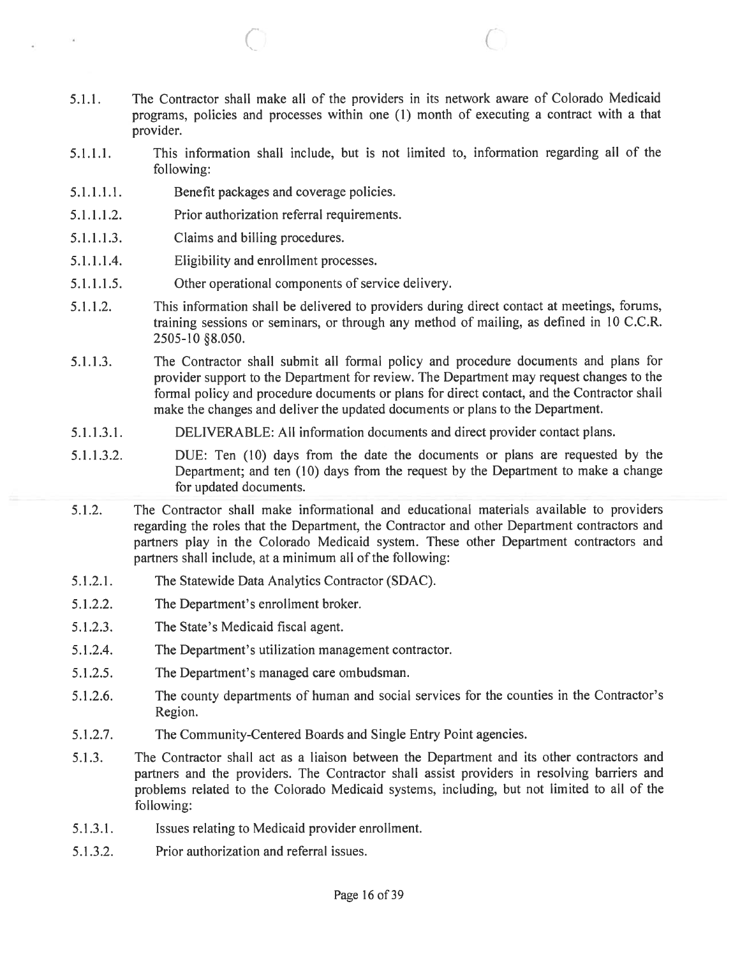5.1.1. The Contractor shall make all of the providers in its network aware of Colorado Medicaid programs, policies and processes within one (1) month of executing <sup>a</sup> contract with <sup>a</sup> that provider.

 $\circ$  (c) and c (c) and c (c) and c (c) and c (c) and c (c) and c (c) and c (c) and c (c) and c (c) and c (c) and c (c) and c (c) and c (c) and c (c) and c (c) and c (c) and c (c) and c (c) and c (c) and c (c) and c (c) an

- 5.1.1.1. This information shall include, but is not limited to, information regarding all of the following:
- 5.1.1.1.1. Benefit packages and coverage policies.
- 5.1.1.1.2. Prior authorization referral requirements.
- 5.1.1.1.3. Claims and billing procedures.

ù.

- 5.1.1.1.4. Eligibility and enrollment processes.
- 5.1.1.1.5. Other operational components of service delivery.
- 5.1.1.2. This information shall be delivered to providers during direct contact at meetings, forums, training sessions or seminars, or through any method of mailing, as defined in 10 C.C.R. 2505-10 §8.050.
- 5.1.1.3. The Contractor shall submit all formal policy and procedure documents and plans for provider suppor<sup>t</sup> to the Department for review. The Department may reques<sup>t</sup> changes to the formal policy and procedure documents or <sup>p</sup>lans for direct contact, and the Contractor shall make the changes and deliver the updated documents or plans to the Department.
- 5.1.1.3.1. DELIVERABLE: All information documents and direct provider contact plans.
- 5.1.1.3.2. DUE: Ten (10) days from the date the documents or plans are requested by the Department; and ten (10) days from the reques<sup>t</sup> by the Department to make <sup>a</sup> change for updated documents.
- 5.1.2. The Contractor shall make informational and educational materials available to providers regarding the roles that the Department, the Contractor and other Department contractors and partners play in the Colorado Medicaid system. These other Department contractors and partners shall include, at <sup>a</sup> minimum all of the following:
- 5.1.2.1. The Statewide Data Analytics Contractor (SDAC).
- 5.1.2.2. The Department's enrollment broker.
- 5.1.2.3. The State's Medicaid fiscal agent.
- 5.1.2.4. The Department's utilization managemen<sup>t</sup> contractor.
- 5.1.2.5. The Department's managed care ombudsman.
- 5.1.2.6. The county departments of human and social services for the counties in the Contractor's Region.
- 5.1.2.7. The Community-Centered Boards and Single Entry Point agencies.
- 5.1.3. The Contractor shall act as <sup>a</sup> liaison between the Department and its other contractors and partners and the providers. The Contractor shall assist providers in resolving barriers and problems related to the Colorado Medicaid systems, including, but not limited to all of the following:
- 5.1.3.1. Issues relating to Medicaid provider enrollment.
- 5.1.3.2. Prior authorization and referral issues.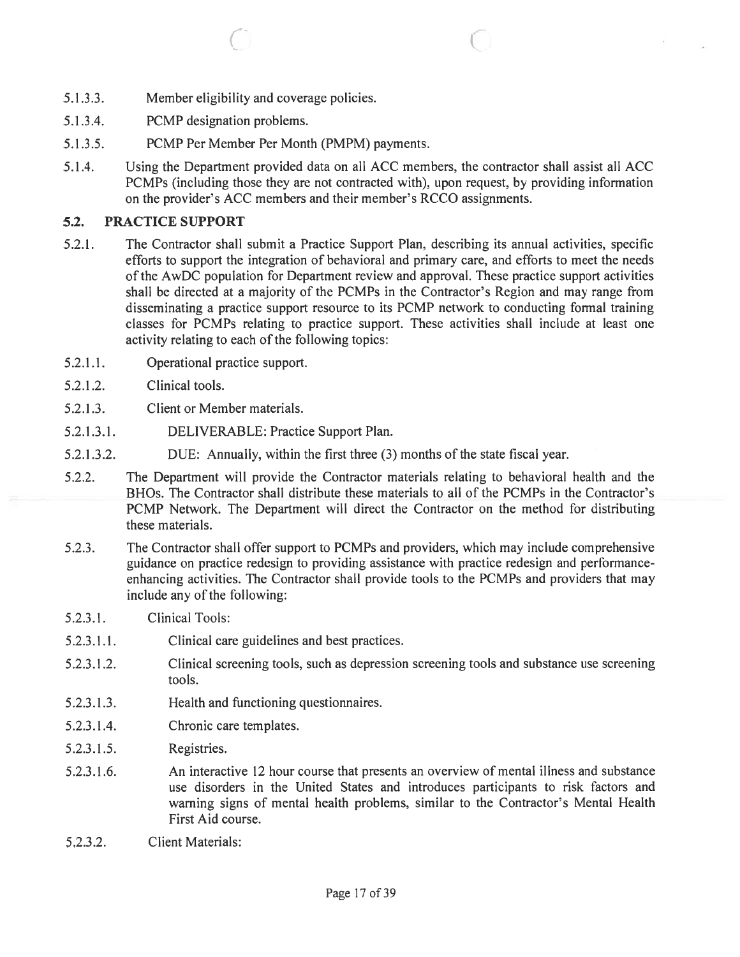- 5.1.3.3. Member eligibility and coverage policies.
- 5.1.3.4. PCMP designation problems.
- 5.1.3.5. PCMP Per Member Per Month (PMPM) payments.
- 5.1.4. Using the Department provided data on all ACC members, the contractor shall assist all ACC PCMPs (including those they are not contracted with), upon request, by providing information on the provider's ACC members and their member's RCCO assignments.

 $\circ$  c

## 5.2. PRACTICE SUPPORT

- 5.2.1. The Contractor shall submit <sup>a</sup> Practice Support Plan, describing its annual activities, specific efforts to suppor<sup>t</sup> the integration of behavioral and primary care, and efforts to meet the needs of the AwDC population for Department review and approval. These practice suppor<sup>t</sup> activities shall be directed at <sup>a</sup> majority of the PCMPs in the Contractor's Region and may range from disseminating <sup>a</sup> practice suppor<sup>t</sup> resource to its PCMP network to conducting formal training classes for PCMPs relating to practice support. These activities shall include at least one activity relating to each of the following topics:
- 5.2.1.1. Operational practice support.
- 5.2.1.2. Clinical tools.
- 5.2.1.3. Client or Member materials.
- 5.2.1.3.1. DELIVERABLE: Practice Support Plan.
- 5.2.1.3.2. DUE: Annually, within the first three (3) months of the state fiscal year.
- 5.2.2. The Department will provide the Contractor materials relating to behavioral health and the BROs. The Contractor shall distribute these materials to all of the PCMPs in the Contractor's PCMP Network. The Department will direct the Contractor on the method for distributing these materials.
- 5.2.3. The Contractor shall offer suppor<sup>t</sup> to PCMPs and providers, which may include comprehensive guidance on practice redesign to providing assistance with practice redesign and performanceenhancing activities. The Contractor shall provide tools to the PCMPs and providers that may include any of the following:
- 5.2.3.1. Clinical Tools:
- 5.2.3.1.1. Clinical care guidelines and best practices.
- 5.2.3.1.2. Clinical screening tools, such as depression screening tools and substance use screening tools.
- 5.2.3.1.3. Health and functioning questionnaires.
- 5.2.3.1.4. Chronic care templates.
- 5.2.3.1.5. Registries.
- 5.2.3.1.6. An interactive 12 hour course that presents an overview of mental illness and substance use disorders in the United States and introduces participants to risk factors and warning signs of mental health problems, similar to the Contractor's Mental Health First Aid course.
- 5.2.3.2. Client Materials: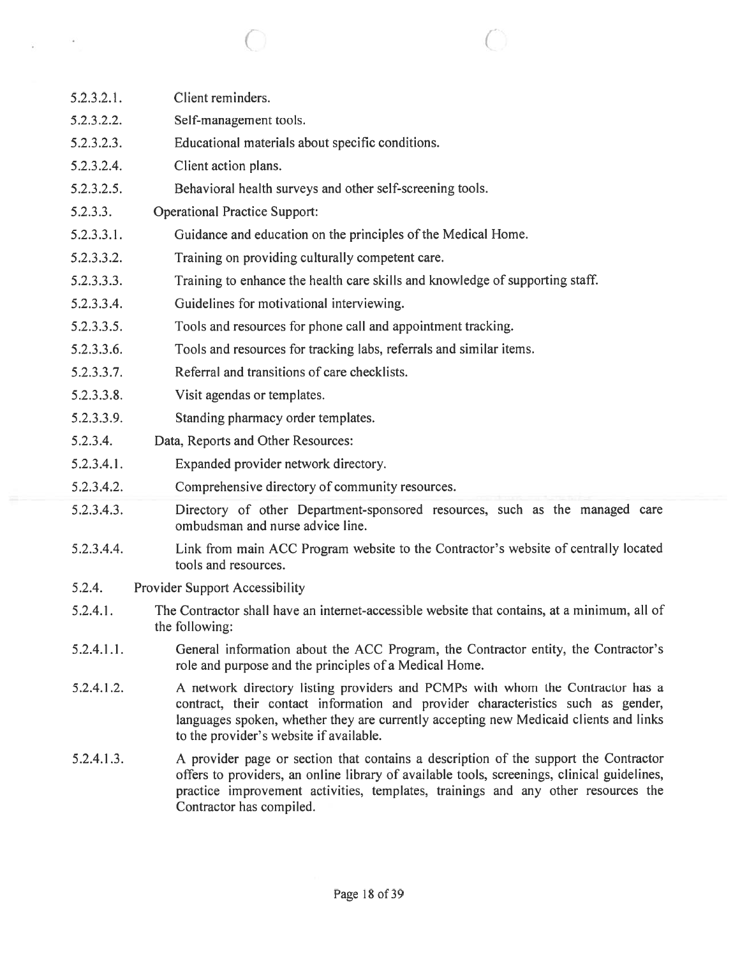| 5.2.3.2.1. | Client reminders.                                                                                                                                                                                                                                                                                      |
|------------|--------------------------------------------------------------------------------------------------------------------------------------------------------------------------------------------------------------------------------------------------------------------------------------------------------|
| 5.2.3.2.2. | Self-management tools.                                                                                                                                                                                                                                                                                 |
| 5.2.3.2.3. | Educational materials about specific conditions.                                                                                                                                                                                                                                                       |
| 5.2.3.2.4. | Client action plans.                                                                                                                                                                                                                                                                                   |
| 5.2.3.2.5. | Behavioral health surveys and other self-screening tools.                                                                                                                                                                                                                                              |
| 5.2.3.3.   | <b>Operational Practice Support:</b>                                                                                                                                                                                                                                                                   |
| 5.2.3.3.1. | Guidance and education on the principles of the Medical Home.                                                                                                                                                                                                                                          |
| 5.2.3.3.2. | Training on providing culturally competent care.                                                                                                                                                                                                                                                       |
| 5.2.3.3.3. | Training to enhance the health care skills and knowledge of supporting staff.                                                                                                                                                                                                                          |
| 5.2.3.3.4. | Guidelines for motivational interviewing.                                                                                                                                                                                                                                                              |
| 5.2.3.3.5. | Tools and resources for phone call and appointment tracking.                                                                                                                                                                                                                                           |
| 5.2.3.3.6. | Tools and resources for tracking labs, referrals and similar items.                                                                                                                                                                                                                                    |
| 5.2.3.3.7. | Referral and transitions of care checklists.                                                                                                                                                                                                                                                           |
| 5.2.3.3.8. | Visit agendas or templates.                                                                                                                                                                                                                                                                            |
| 5.2.3.3.9. | Standing pharmacy order templates.                                                                                                                                                                                                                                                                     |
| 5.2.3.4.   | Data, Reports and Other Resources:                                                                                                                                                                                                                                                                     |
| 5.2.3.4.1. | Expanded provider network directory.                                                                                                                                                                                                                                                                   |
| 5.2.3.4.2. | Comprehensive directory of community resources.                                                                                                                                                                                                                                                        |
| 5.2.3.4.3. | Directory of other Department-sponsored resources, such as the managed care<br>ombudsman and nurse advice line.                                                                                                                                                                                        |
| 5.2.3.4.4. | Link from main ACC Program website to the Contractor's website of centrally located<br>tools and resources.                                                                                                                                                                                            |
| 5.2.4.     | <b>Provider Support Accessibility</b>                                                                                                                                                                                                                                                                  |
| 5.2.4.1.   | The Contractor shall have an internet-accessible website that contains, at a minimum, all of<br>the following:                                                                                                                                                                                         |
| 5.2.4.1.1. | General information about the ACC Program, the Contractor entity, the Contractor's<br>role and purpose and the principles of a Medical Home.                                                                                                                                                           |
| 5.2.4.1.2. | A network directory listing providers and PCMPs with whom the Contractor has a<br>contract, their contact information and provider characteristics such as gender,<br>languages spoken, whether they are currently accepting new Medicaid clients and links<br>to the provider's website if available. |
| 5.2.4.1.3. | A provider page or section that contains a description of the support the Contractor<br>offers to providers, an online library of available tools, screenings, clinical guidelines,<br>practice improvement activities, templates, trainings and any other resources the<br>Contractor has compiled.   |

 $\qquad \qquad \qquad \qquad \qquad \qquad$ 

 $\tilde{C} = \frac{1}{2} \tilde{C}$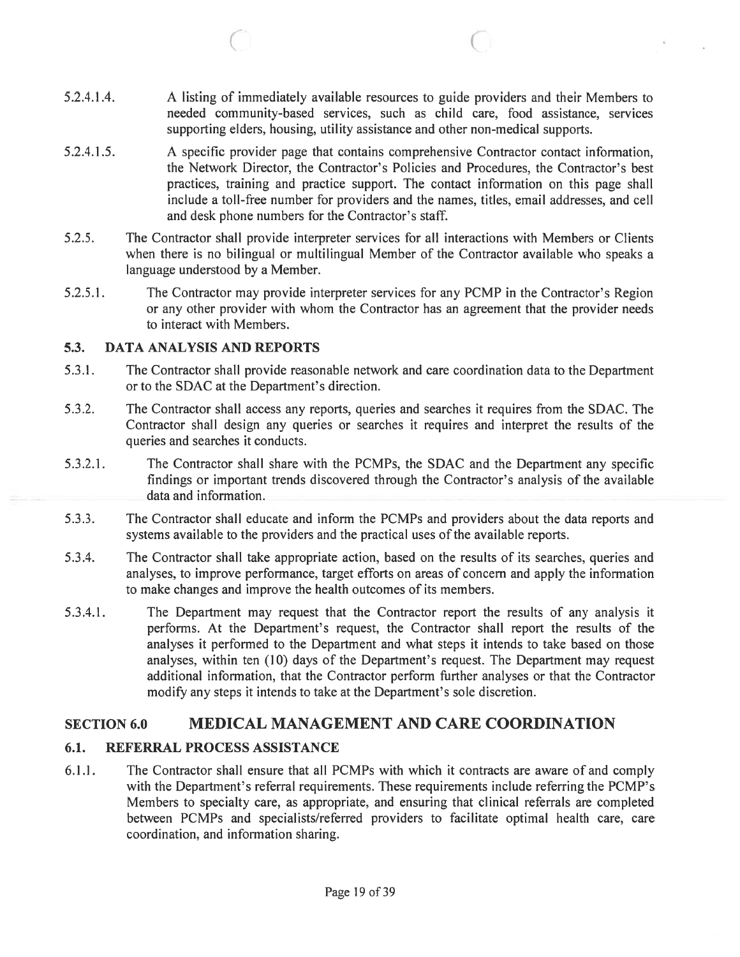5.2.4.1.4. A listing of immediately available resources to guide providers and their Members to needed community-based services, such as child care, food assistance, services supporting elders, housing, utility assistance and other non-medical supports.

 $\circ$  c

- 5.2.4.1.5. A specific provider page that contains comprehensive Contractor contact information, the Network Director, the Contractor's Policies and Procedures, the Contractor's best practices, training and practice support. The contact information on this page shall include <sup>a</sup> toll-free number for providers and the names, titles, email addresses, and cell and desk phone numbers for the Contractor's staff.
- 5.2.5. The Contractor shall provide interpreter services for all interactions with Members or Clients when there is no bilingual or multilingual Member of the Contractor available who speaks <sup>a</sup> language understood by <sup>a</sup> Member.
- 5.2.5.1. The Contractor may provide interpreter services for any PCMP in the Contractor's Region or any other provider with whom the Contractor has an agreemen<sup>t</sup> that the provider needs to interact with Members.

## 5.3. DATA ANALYSIS AND REPORTS

- 5.3.1. The Contractor shall provide reasonable network and care coordination data to the Department or to the SDAC at the Department's direction.
- 5.3.2. The Contractor shall access any reports, queries and searches it requires from the SDAC. The Contractor shall design any queries or searches it requires and interpret the results of the queries and searches it conducts.
- 5.3.2.1. The Contractor shall share with the PCMPs, the SDAC and the Department any specific findings or important trends discovered through the Contractor's analysis of the available data and information.
- 5.3.3. The Contractor shall educate and inform the PCMPs and providers about the data reports and systems available to the providers and the practical uses of the available reports.
- 5.3.4. The Contractor shall take appropriate action, based on the results of its searches, queries and analyses, to improve performance, target efforts on areas of concern and apply the information to make changes and improve the health outcomes of its members.
- 5.3.4.1. The Department may reques<sup>t</sup> that the Contractor repor<sup>t</sup> the results of any analysis it performs. At the Department's request, the Contractor shall repor<sup>t</sup> the results of the analyses it performed to the Department and what steps it intends to take based on those analyses, within ten (10) days of the Department's request. The Department may reques<sup>t</sup> additional information, that the Contractor perform further analyses or that the Contractor modify any steps it intends to take at the Department's sole discretion.

# SECTION 6.0 MEDICAL MANAGEMENT AND CARE COORDINATION

# 6.1. REFERRAL PROCESS ASSISTANCE

6.1.1. The Contractor shall ensure that all PCMPs with which it contracts are aware of and comply with the Department's referral requirements. These requirements include referring the PCMP's Members to specialty care, as appropriate, and ensuring that clinical referrals are completed between PCMPs and specialists/referred providers to facilitate optimal health care, care coordination, and information sharing.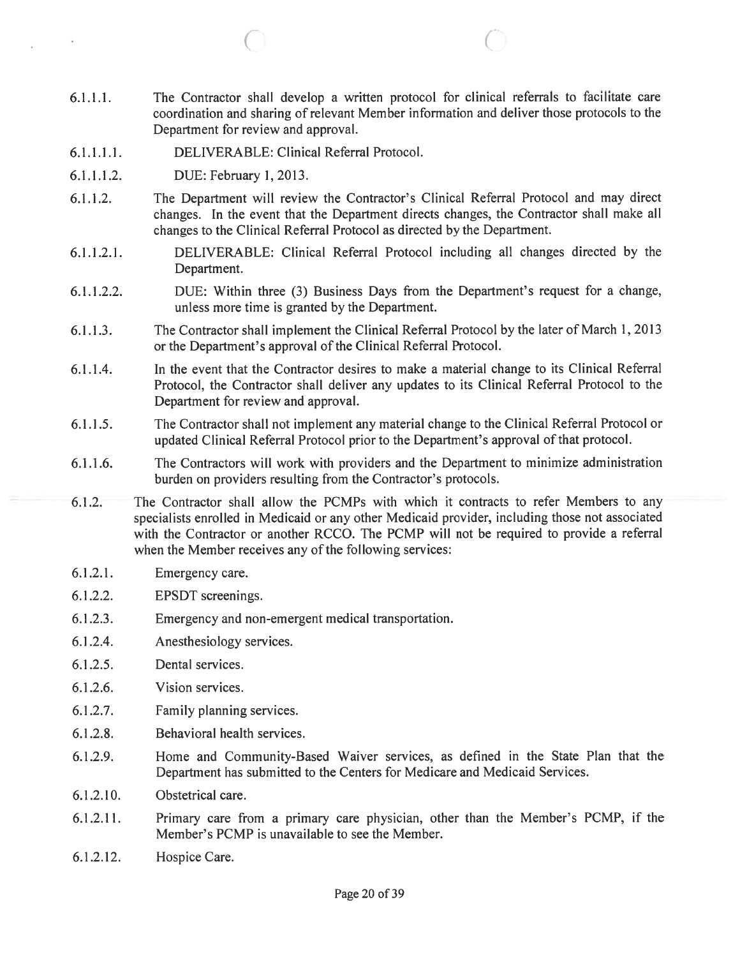6.1.1.1. The Contractor shall develop <sup>a</sup> written protocol for clinical referrals to facilitate care coordination and sharing of relevant Member information and deliver those protocols to the Department for review and approval.

 $\bigcap$ 

- 6.1.1.1.1. DELIVERABLE: Clinical Referral Protocol.
- 6.1.1.1.2. DUE: February 1,2013.

Ŷ.

- 6.1.1.2. The Department will review the Contractor's Clinical Referral Protocol and may direct changes. In the event that the Department directs changes, the Contractor shall make all changes to the Clinical Referral Protocol as directed by the Department.
- 6.1.1.2.1. DELIVERABLE: Clinical Referral Protocol including all changes directed by the Department.
- 6.1.1.2.2. DUE: Within three (3) Business Days from the Department's reques<sup>t</sup> for <sup>a</sup> change, unless more time is granted by the Department.
- 6.1.1.3. The Contractor shall implement the Clinical Referral Protocol by the later of March 1,2013 or the Department's approval of the Clinical Referral Protocol.
- 6.1.1.4. In the event that the Contractor desires to make <sup>a</sup> material change to its Clinical Referral Protocol, the Contractor shall deliver any updates to its Clinical Referral Protocol to the Department for review and approval.
- 6.1.1.5. The Contractor shall not implement any material change to the Clinical Referral Protocol or updated Clinical Referral Protocol prior to the Department's approval ofthat protocol.
- 6.1.1.6. The Contractors will work with providers and the Department to minimize administration burden on providers resulting from the Contractor's protocols.
- 6.1.2. The Contractor shall allow the PCMPs with which it contracts to refer Members to any specialists enrolled in Medicaid or any other Medicaid provider, including those not associated with the Contractor or another RCCO. The PCMP will not be required to provide <sup>a</sup> referral when the Member receives any of the following services:
- 6.1.2.1. Emergency care.
- 6.1.2.2. EPSDT screenings.
- 6.1.2.3. Emergency and non-emergen<sup>t</sup> medical transportation.
- 6.1.2.4. Anesthesiology services.
- 6.1.2.5. Dental services.
- 6.1.2.6. Vision services.
- 6.1.2.7. Family planning services.
- 6.1.2.8. Behavioral health services.
- 6.1.2.9. Home and Community-Based Waiver services, as defined in the State Plan that the Department has submitted to the Centers for Medicare and Medicaid Services.
- 6.1.2.10. Obstetrical care.
- 6.1.2.11. Primary care from <sup>a</sup> primary care physician, other than the Member's PCMP, if the Member's PCMP is unavailable to see the Member.
- 6.1.2.12. Hospice Care.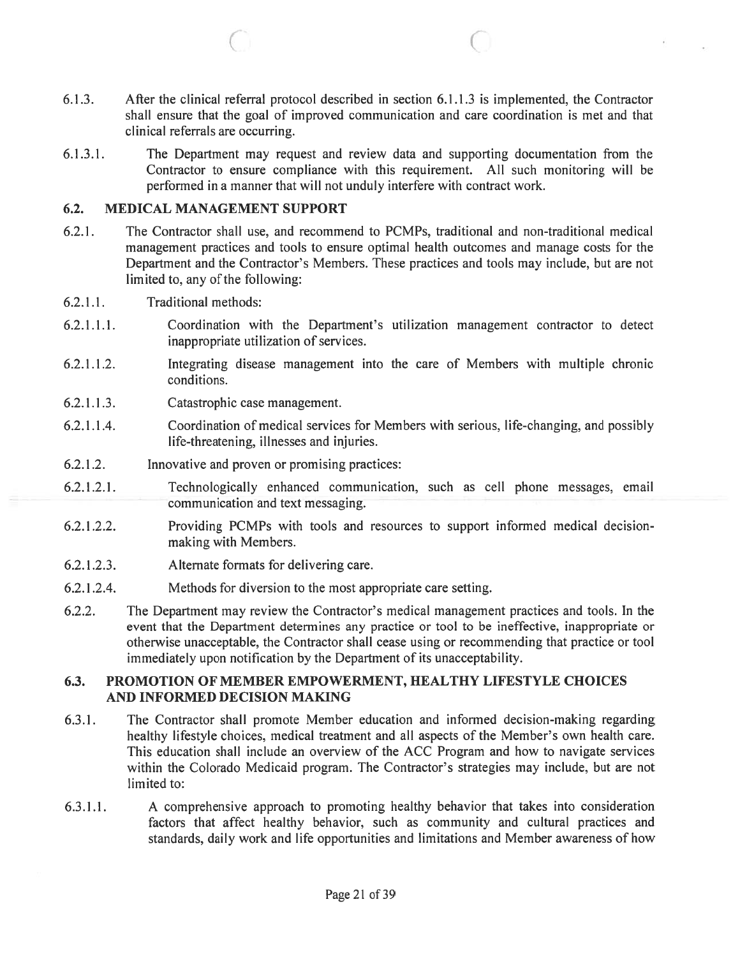6.1.3. After the clinical referral protocol described in section 6.1.1.3 is implemented, the Contractor shall ensure that the goal of improved communication and care coordination is met and that clinical referrals are occurring.

 $\overline{C}$  c

6.1.3.1. The Department may reques<sup>t</sup> and review data and supporting documentation from the Contractor to ensure compliance with this requirement. All such monitoring will be performed in <sup>a</sup> manner that will not unduly interfere with contract work.

#### 6.2. MEDICAL MANAGEMENT SUPPORT

- 6.2.1. The Contractor shall use, and recommend to PCMPs, traditional and non-traditional medical managemen<sup>t</sup> practices and tools to ensure optimal health outcomes and manage costs for the Department and the Contractor's Members. These practices and tools may include, but are not limited to, any of the following:
- 6.2.1.1. Traditional methods:
- 6.2.1.1.1. Coordination with the Department's utilization managemen<sup>t</sup> contractor to detect inappropriate utilization of services.
- 6.2.1.1.2. Integrating disease managemen<sup>t</sup> into the care of Members with multiple chronic conditions.
- 6.2.1 .1.3. Catastrophic case management.
- 6.2.1.1.4. Coordination of medical services for Members with serious, life-changing, and possibly life-threatening, illnesses and injuries.
- 6.2.1.2. Innovative and proven or promising practices:
- 6.2.1.2.1. Technologically enhanced communication, such as cell phone messages, email communication and text messaging.
- 6.2.1.2.2. Providing PCMPs with tools and resources to suppor<sup>t</sup> informed medical decisionmaking with Members.
- 6.2.1.2.3. Alternate formats for delivering care.
- 6.2.1.2.4. Methods for diversion to the most appropriate care setting.
- 6.2.2. The Department may review the Contractor's medical managemen<sup>t</sup> practices and tools. In the event that the Department determines any practice or tool to be ineffective, inappropriate or otherwise unacceptable, the Contractor shall cease using or recommending that practice or tool immediately upon notification by the Department of its unacceptability.

### 6.3. PROMOTION OF MEMBER EMPOWERMENT, HEALTHY LIFESTYLE CHOICES AND INFORMED DECISION MAKING

- 6.3.1. The Contractor shall promote Member education and informed decision-making regarding healthy lifestyle choices, medical treatment and all aspects of the Member's own health care. This education shall include an overview of the ACC Program and how to navigate services within the Colorado Medicaid program. The Contractor's strategies may include, but are not limited to:
- 6.3.1.1. A comprehensive approach to promoting healthy behavior that takes into consideration factors that affect healthy behavior, such as community and cultural practices and standards, daily work and life opportunities and limitations and Member awareness of how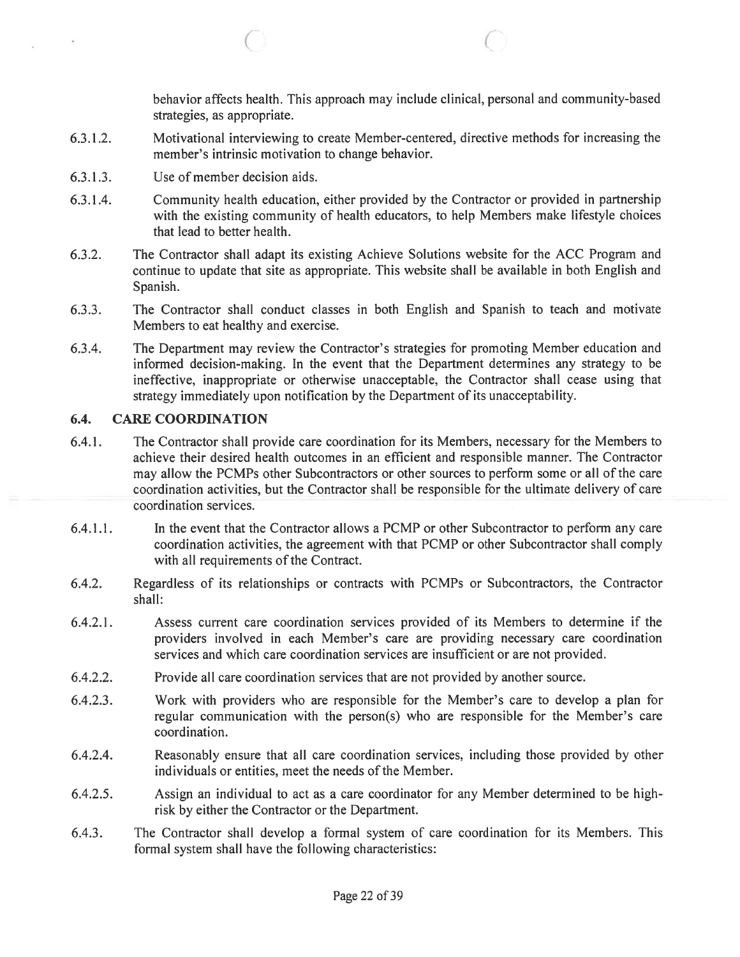behavior affects health. This approach may include clinical, personal and community-based strategies, as appropriate.

6.3.1.2. Motivational interviewing to create Member-centered, directive methods for increasing the member's intrinsic motivation to change behavior.

 $\circ$  c

- 6.3.1.3. Use of member decision aids.
- 6.3.1.4. Community health education, either provided by the Contractor or provided in partnership with the existing community of health educators, to help Members make lifestyle choices that lead to better health.
- 6.3.2. The Contractor shall adapt its existing Achieve Solutions website for the ACC Program and continue to update that site as appropriate. This website shall be available in both English and Spanish.
- 6.3.3. The Contractor shall conduct classes in both English and Spanish to teach and motivate Members to eat healthy and exercise.
- 6.3.4. The Department may review the Contractor's strategies for promoting Member education and informed decision-making. In the event that the Department determines any strategy to be ineffective, inappropriate or otherwise unacceptable, the Contractor shall cease using that strategy immediately upon notification by the Department of its unacceptability.

## 6.4. CARE COORDINATION

- 6.4.1. The Contractor shall provide care coordination for its Members, necessary for the Members to achieve their desired health outcomes in an efficient and responsible manner. The Contractor may allow the PCMPs other Subcontractors or other sources to perform some or all of the care coordination activities, but the Contractor shall be responsible for the ultimate delivery of care coordination services.
- 6.4.1.1. In the event that the Contractor allows <sup>a</sup> PCMP or other Subcontractor to perform any care coordination activities, the agreemen<sup>t</sup> with that PCMP or other Subcontractor shall comply with all requirements of the Contract.
- 6.4.2. Regardless of its relationships or contracts with PCMPs or Subcontractors, the Contractor shall:
- 6.4.2.1. Assess current care coordination services provided of its Members to determine if the providers involved in each Member's care are providing necessary care coordination services and which care coordination services are insufficient or are not provided.
- 6.4.2.2. Provide all care coordination services that are not provided by another source.
- 6.4.2.3. Work with providers who are responsible for the Member's care to develop <sup>a</sup> plan for regular communication with the person(s) who are responsible for the Member's care coordination.
- 6.4.2.4. Reasonably ensure that all care coordination services, including those provided by other individuals or entities, meet the needs of the Member.
- 6.4.2.5. Assign an individual to act as <sup>a</sup> care coordinator for any Member determined to be high risk by either the Contractor or the Department.
- 6.4.3. The Contractor shall develop <sup>a</sup> formal system of care coordination for its Members. This formal system shall have the following characteristics: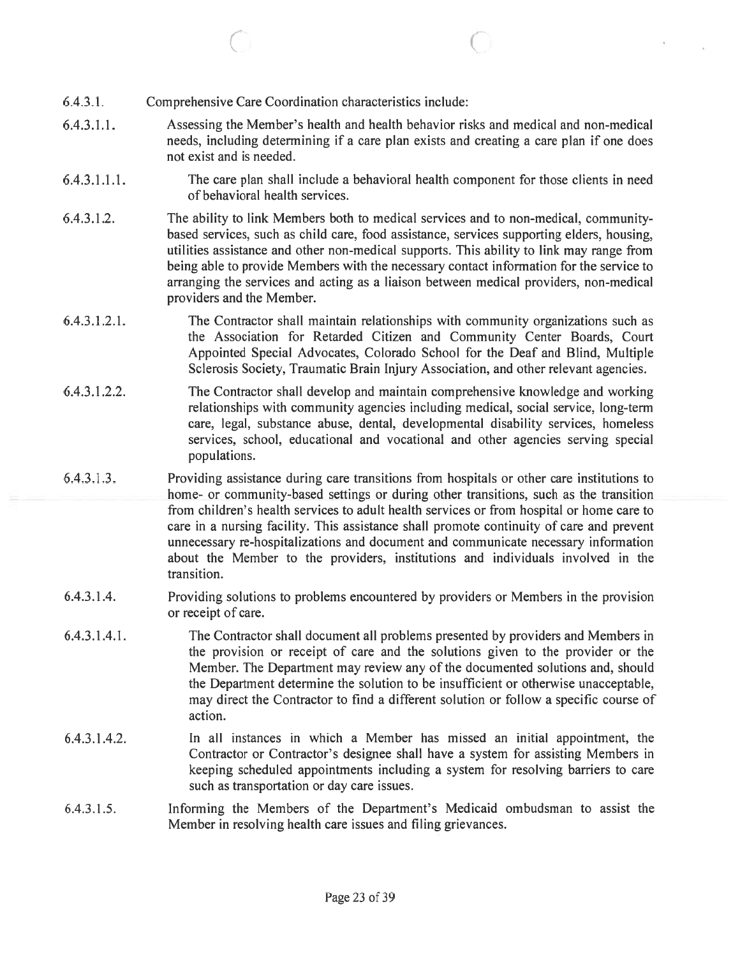- 6.4.3.1. Comprehensive Care Coordination characteristics include:
- 6.4.3.1.1. Assessing the Member's health and health behavior risks and medical and non-medical needs, including determining if <sup>a</sup> care plan exists and creating <sup>a</sup> care plan if one does not exist and is needed.

 $\bigcap$ 

- 6.4.3.1.1.1. The care plan shall include <sup>a</sup> behavioral health componen<sup>t</sup> for those clients in need of behavioral health services.
- 6.4.3.1.2. The ability to link Members both to medical services and to non-medical, communitybased services, such as child care, food assistance, services supporting elders, housing, utilities assistance and other non-medical supports. This ability to link may range from being able to provide Members with the necessary contact information for the service to arranging the services and acting as <sup>a</sup> liaison between medical providers, non-medical providers and the Member.
- 6.4.3.1.2.1. The Contractor shall maintain relationships with community organizations such as the Association for Retarded Citizen and Community Center Boards, Court Appointed Special Advocates, Colorado School for the Deaf and Blind, Multiple Sclerosis Society, Traumatic Brain Injury Association, and other relevant agencies.
- 6.4.3.1.2.2. The Contractor shall develop and maintain comprehensive knowledge and working relationships with community agencies including medical, social service, long-term care, legal, substance abuse, dental, developmental disability services, homeless services, school, educational and vocational and other agencies serving special populations.
- 6.4.3.1.3. Providing assistance during care transitions from hospitals or other care institutions to home- or community-based settings or during other transitions, such as the transition from children's health services to adult health services or from hospital or home care to care in <sup>a</sup> nursing facility. This assistance shall promote continuity of care and preven<sup>t</sup> unnecessary re-hospitalizations and document and communicate necessary information about the Member to the providers, institutions and individuals involved in the transition.
- 6.4.3.1.4. Providing solutions to problems encountered by providers or Members in the provision or receipt of care.
- 6.4.3.1.4.1. The Contractor shall document all problems presented by providers and Members in the provision or receipt of care and the solutions given to the provider or the Member. The Department may review any of the documented solutions and, should the Department determine the solution to be insufficient or otherwise unacceptable, may direct the Contractor to find <sup>a</sup> different solution or follow <sup>a</sup> specific course of action.
- 6.4.3.1.4.2. In all instances in which <sup>a</sup> Member has missed an initial appointment, the Contractor or Contractor's designee shall have <sup>a</sup> system for assisting Members in keeping scheduled appointments including <sup>a</sup> system for resolving barriers to care such as transportation or day care issues.
- 6.4.3.1.5. Informing the Members of the Department's Medicaid ombudsman to assist the Member in resolving health care issues and filing grievances.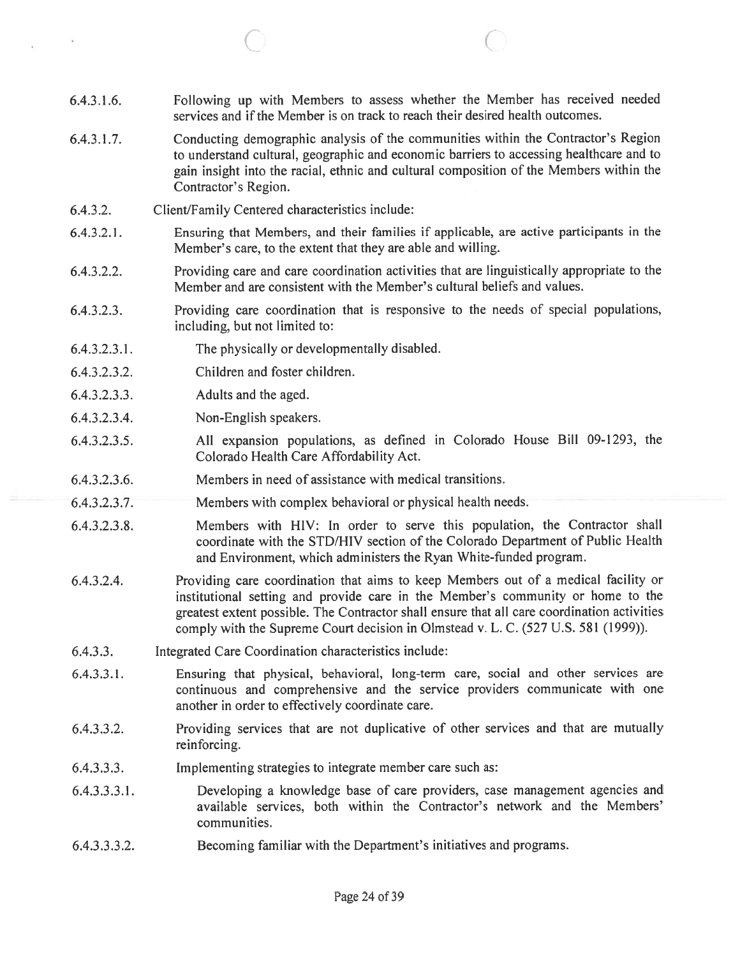6.4.3.1.6. Following up with Members to assess whether the Member has received needed services and if the Member is on track to reach their desired health outcomes.

 $\circ$   $\circ$   $\circ$ 

- 6.4.3.1.7. Conducting demographic analysis of the communities within the Contractor's Region to understand cultural, geographic and economic barriers to accessing healthcare and to gain insight into the racial, ethnic and cultural composition of the Members within the Contractor's Region.
- 6.4.3.2. Client/Family Centered characteristics include:
- 6.4.3.2.1. Ensuring that Members. and their families if applicable, are active participants in the Member's care, to the extent that they are able and willing.
- 6.4.3.2.2. Providing care and care coordination activities that are linguistically appropriate to the Member and are consistent with the Member's cultural beliefs and values.
- 6.4.3.2.3. Providing care coordination that is responsive to the needs of special populations, including, but not limited to:
- 6.4.3.2.3.1. The physically or developmentally disabled.
- 6.4.3.2.3.2. Children and foster children.
- 6.4.3.2.3.3. Adults and the aged.

Y.

- 6.4.3.2.3.4. Non-English speakers.
- 6.4.3.2.3.5. All expansion populations, as defined in Colorado House Bill 09-1293, the Colorado Health Care Affordability Act.
- 6.4.3.2.3.6. Members in need of assistance with medical transitions.
- 6.4.3.2.3.7. Members with complex behavioral or physical health needs.
- 6.4.3.2.3.8. Members with HIV: In order to serve this population, the Contractor shall coordinate with the STD/HIV section of the Colorado Department of Public Health and Environment, which administers the Ryan White-funded program.
- 6.4.3.2.4. Providing care coordination that aims to keep Members out of <sup>a</sup> medical facility or institutional setting and provide care in the Member's community or home to the greatest extent possible. The Contractor shall ensure that all care coordination activities comply with the Supreme Court decision in Olmstead v. L. C. (527 U.S. 581 (1999)).
- 6.4.3.3. Integrated Care Coordination characteristics include:
- 6.4.3.3.1. Ensuring that <sup>p</sup>hysical, behavioral, long-term care, social and other services are continuous and comprehensive and the service providers communicate with one another in order to effectively coordinate care.
- 6.4.3.3.2. Providing services that are not duplicative of other services and that are mutually reinforcing.
- 6.4.3.3.3. Implementing strategies to integrate member care such as:
- 6.4.3.3.3.1. Developing <sup>a</sup> knowledge base of care providers, case managemen<sup>t</sup> agencies and available services, both within the Contractor's network and the Members' communities.
- 6.4.3.3.3.2. Becoming familiar with the Department's initiatives and programs.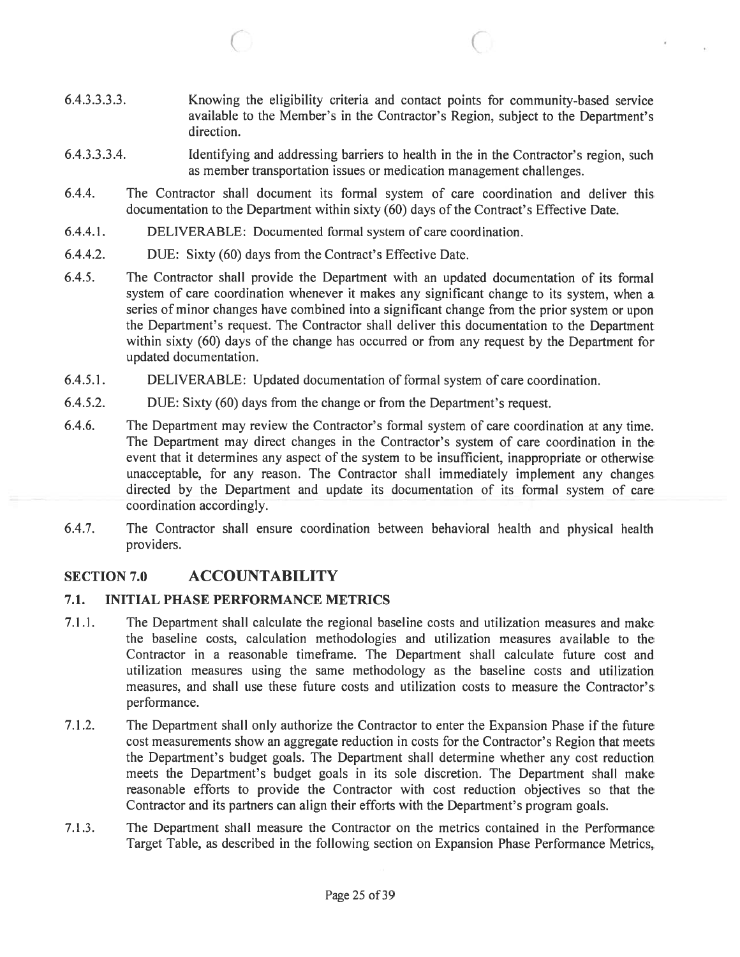6.4.3.3.3.3. Knowing the eligibility criteria and contact points for community-based service available to the Member's in the Contractor's Region, subject to the Department's direction.

 $\circ$  c

- 6.4.3.3.3.4. Identifying and addressing barriers to health in the in the Contractor's region, such as member transportation issues or medication managemen<sup>t</sup> challenges.
- 6.4.4. The Contractor shall document its formal system of care coordination and deliver this documentation to the Department within sixty (60) days of the Contract's Effective Date.
- 6.4.4.1. DELIVERABLE: Documented formal system of care coordination.
- 6.4.4.2. DUE: Sixty (60) days from the Contract's Effective Date.
- 6.4.5. The Contractor shall provide the Department with an updated documentation of its formal system of care coordination whenever it makes any significant change to its system, when <sup>a</sup> series of minor changes have combined into <sup>a</sup> significant change from the prior system or upon the Department's request. The Contractor shall deliver this documentation to the Department within sixty (60) days of the change has occurred or from any reques<sup>t</sup> by the Department for updated documentation.
- 6.4.5.1. DELIVERABLE: Updated documentation of formal system of care coordination.
- 6.4.5.2. DUE: Sixty (60) days from the change or from the Department's request.
- 6.4.6. The Department may review the Contractor's formal system of care coordination at any time. The Department may direct changes in the Contractor's system of care coordination in the event that it determines any aspec<sup>t</sup> of the system to be insufficient, inappropriate or otherwise unacceptable, for any reason. The Contractor shall immediately implement any changes directed by the Department and update its documentation of its formal system of care coordination accordingly.
- 6.4.7. The Contractor shall ensure coordination between behavioral health and physical health providers.

# SECTION 7.0 ACCOUNTABILITY

# 7.1. INITIAL PHASE PERFORMANCE METRICS

- 7.1.1. The Department shall calculate the regional baseline costs and utilization measures and make the baseline costs, calculation methodologies and utilization measures available to the Contractor in <sup>a</sup> reasonable timeframe. The Department shall calculate future cost and utilization measures using the same methodology as the baseline costs and utilization measures, and shall use these future costs and utilization costs to measure the Contractor's performance.
- 7.1.2. The Department shall only authorize the Contractor to enter the Expansion Phase if the future cost measurements show an aggregate reduction in costs for the Contractor's Region that meets the Department's budget goals. The Department shall determine whether any cost reduction meets the Department's budget goals in its sole discretion. The Department shall make reasonable efforts to provide the Contractor with cost reduction objectives so that the Contractor and its partners can align their efforts with the Department's program goals.
- 7.1.3. The Department shall measure the Contractor on the metrics contained in the Performance Target Table, as described in the following section on Expansion Phase Performance Metrics,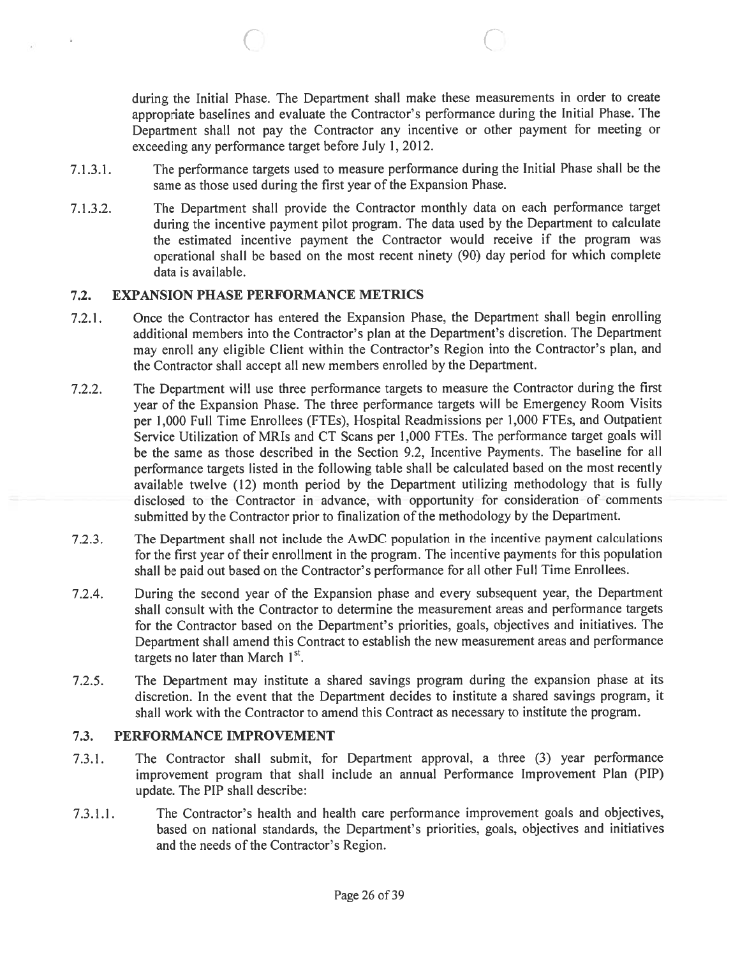during the Initial Phase. The Department shall make these measurements in order to create appropriate baselines and evaluate the Contractor's performance during the Initial Phase. The Department shall not pay the Contractor any incentive or other paymen<sup>t</sup> for meeting or exceeding any performance target before July 1, 2012.

7.1.3.1. The performance targets used to measure performance during the Initial Phase shall be the same as those used during the first year of the Expansion Phase.

 $\circ$  C

7.1.3.2. The Department shall provide the Contractor monthly data on each performance target during the incentive paymen<sup>t</sup> <sup>p</sup>ilot program. The data used by the Department to calculate the estimated incentive paymen<sup>t</sup> the Contractor would receive if the program was operational shall be based on the most recent ninety (90) day period for which complete data is available.

# 7.2. EXPANSION PHASE PERFORMANCE METRICS

- 7.2.1. Once the Contractor has entered the Expansion Phase, the Department shall begin enrolling additional members into the Contractor's plan at the Department's discretion. The Department may enroll any eligible Client within the Contractor's Region into the Contractor's <sup>p</sup>lan, and the Contractor shall accep<sup>t</sup> all new members enrolled by the Department.
- 7.2.2. The Department will use three performance targets to measure the Contractor during the first year of the Expansion Phase. The three performance targets will be Emergency Room Visits per 1,000 Full Time Enrollees (FTE5), Hospital Readmissions per 1,000 FTEs, and Outpatient Service Utilization of MRIs and CT Scans per 1,000 FTEs. The performance target goals will be the same as those described in the Section 9.2, Incentive Payments. The baseline for all performance targets listed in the following table shall be calculated based on the most recently available twelve (12) month period by the Department utilizing methodology that is fully disclosed to the Contractor in advance, with opportunity for consideration of comments submitted by the Contractor prior to finalization of the methodology by the Department.
- 7.2.3. The Department shall not include the AwDC population in the incentive paymen<sup>t</sup> calculations for the first year of their enrollment in the program. The incentive payments for this population shall be paid out based on the Contractor's performance for all other Full Time Enrollees.
- 7.2.4. During the second year of the Expansion <sup>p</sup>hase and every subsequent year, the Department shall consult with the Contractor to determine the measurement areas and performance targets for the Contractor based on the Department's priorities, goals, objectives and initiatives. The Department shall amend this Contract to establish the new measurement areas and performance targets no later than March  $1<sup>st</sup>$ .
- 7.2.5. The Department may institute <sup>a</sup> shared savings program during the expansion <sup>p</sup>hase at its discretion. In the event that the Department decides to institute <sup>a</sup> shared savings program, it shall work with the Contractor to amend this Contract as necessary to institute the program.

## 7.3. PERFORMANCE IMPROVEMENT

- 7.3.1. The Contractor shall submit. for Department approval, <sup>a</sup> three (3) year performance improvement program that shall include an annual Performance Improvement Plan (PIP) update. The PIP shall describe:
- 7.3.1.1. The Contractor's health and health care performance improvement goals and objectives, based on national standards, the Department's priorities, goals, objectives and initiatives and the needs of the Contractor's Region.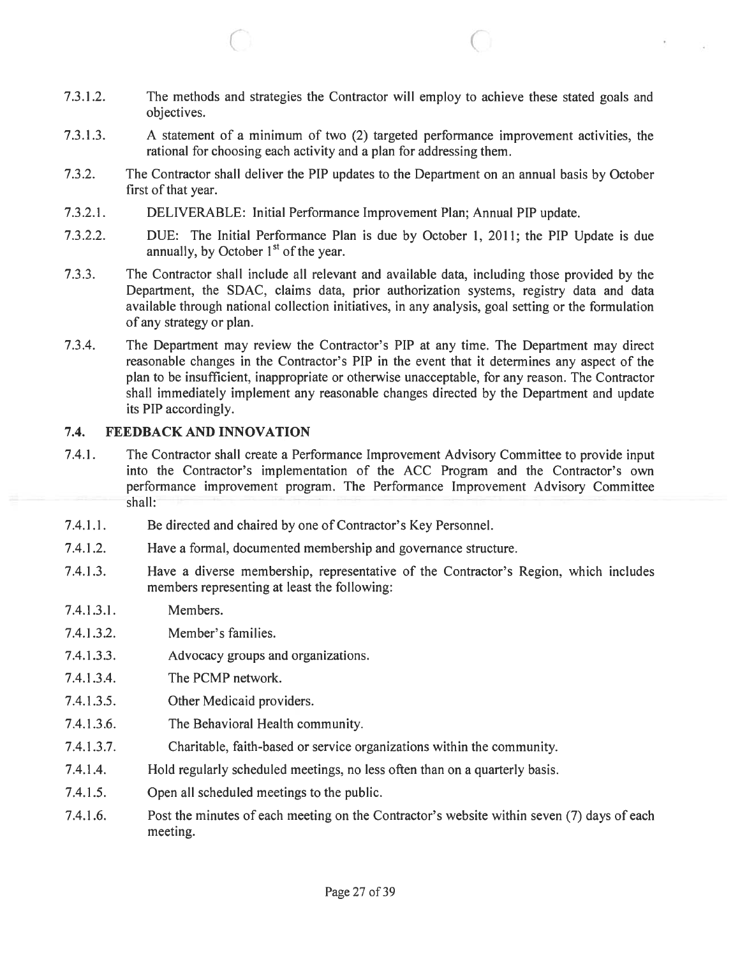7.3.1.2. The methods and strategies the Contractor will employ to achieve these stated goals and objectives.

C C

- 7.3.1.3. A statement of <sup>a</sup> minimum of two (2) targeted performance improvement activities, the rational for choosing each activity and <sup>a</sup> plan for addressing them.
- 7.3.2. The Contractor shall deliver the PIP updates to the Department on an annual basis by October first of that year.
- 7.3.2.1. DELIVERABLE: Initial Performance Improvement Plan; Annual PIP update.
- 7.3.2.2. DUE: The Initial Performance Plan is due by October 1, 2011; the PIP Update is due annually, by October  $1<sup>st</sup>$  of the year.
- 7.3.3. The Contractor shall include all relevant and available data, including those provided by the Department, the SDAC, claims data, prior authorization systems, registry data and data available through national collection initiatives, in any analysis, goal setting or the formulation of any strategy or plan.
- 7.3.4. The Department may review the Contractor's PIP at any time. The Department may direct reasonable changes in the Contractor's PIP in the event that it determines any aspec<sup>t</sup> of the plan to be insufficient, inappropriate or otherwise unacceptable, for any reason. The Contractor shall immediately implement any reasonable changes directed by the Department and update its PIP accordingly.

# 7.4. FEEDBACK AND INNOVATION

- 7.4.1. The Contractor shall create <sup>a</sup> Performance Improvement Advisory Committee to provide input into the Contractor's implementation of the ACC Program and the Contractor's own performance improvement program. The Performance Improvement Advisory Committee shall:
- 7.4.1.1. Be directed and chaired by one of Contractor's Key Personnel.
- 7.4.1.2. Have <sup>a</sup> formal, documented membership and governance structure.
- 7.4.1.3. Have <sup>a</sup> diverse membership, representative of the Contractor's Region, which includes members representing at least the following:
- 7.4.1.3.1. Members.
- 7.4.1.3.2. Member's families.
- 7.4.1.3.3. Advocacy groups and organizations.
- 7.4.1.3.4. The PCMP network.
- 7.4.1.3.5. Other Medicaid providers.
- 7.4.1.3.6. The Behavioral Health community.
- 7.4.1.3.7. Charitable, faith-based or service organizations within the community.
- 7.4.1.4. Hold regularly scheduled meetings, no less often than on <sup>a</sup> quarterly basis.
- 7.4.1.5. Open all scheduled meetings to the public.
- 7.4.1.6. Post the minutes of each meeting on the Contractor's website within seven (7) days of each meeting.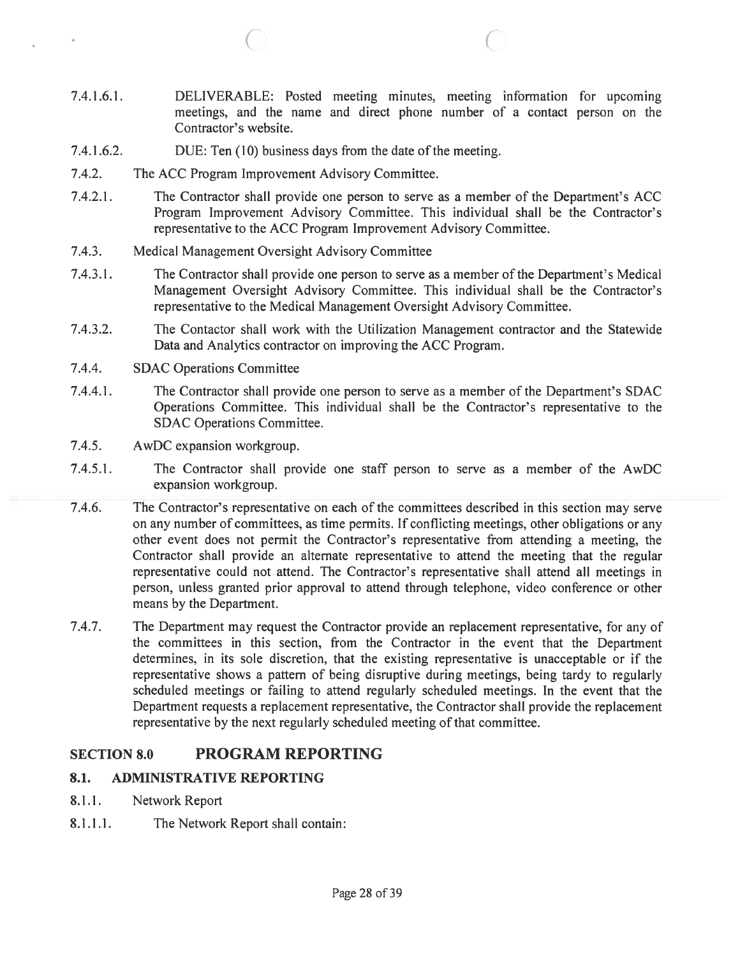- 7.4.1.6.1. DELIVERABLE: Posted meeting minutes, meeting information for upcoming meetings, and the name and direct phone number of <sup>a</sup> contact person on the Contractor's website.
- 7.4.1.6.2. DUE: Ten (10) business days from the date of the meeting.
- 7.4.2. The ACC Program Improvement Advisory Committee.

C

- 7.4.2.1. The Contractor shall provide one person to serve as <sup>a</sup> member of the Department's ACC Program Improvement Advisory Committee. This individual shall be the Contractor's representative to the ACC Program Improvement Advisory Committee.
- 7.4.3. Medical Management Oversight Advisory Committee
- 7.4.3.1. The Contractor shall provide one person to serve as a member of the Department's Medical Management Oversight Advisory Committee. This individual shall be the Contractor's representative to the Medical Management Oversight Advisory Committee.
- 7.4.3.2. The Contactor shall work with the Utilization Management contractor and the Statewide Data and Analytics contractor on improving the ACC Program.
- 7.4.4. SDAC Operations Committee

.

- 7.4.4.1. The Contractor shall provide one person to serve as <sup>a</sup> member of the Department's SDAC Operations Committee. This individual shall be the Contractor's representative to the SDAC Operations Committee.
- 7.4.5. AwDC expansion workgroup.
- 7.4.5.1. The Contractor shall provide one staff person to serve as <sup>a</sup> member of the AwDC expansion workgroup.
- 7.4.6. The Contractor's representative on each of the committees described in this section may serve on any number of committees, as time permits. If conflicting meetings, other obligations or any other event does not permit the Contractor's representative from attending <sup>a</sup> meeting, the Contractor shall provide an alternate representative to attend the meeting that the regular representative could not attend. The Contractor's representative shall attend all meetings in person, unless granted prior approval to attend through telephone, video conference or other means by the Department.
- 7.4.7. The Department may reques<sup>t</sup> the Contractor provide an replacement representative, for any of the committees in this section, from the Contractor in the event that the Department determines, in its sole discretion, that the existing representative is unacceptable or if the representative shows <sup>a</sup> pattern of being disruptive during meetings, being tardy to regularly scheduled meetings or failing to attend regularly scheduled meetings. In the event that the Department requests <sup>a</sup> replacement representative, the Contractor shall provide the replacement representative by the next regularly scheduled meeting of that committee.

# SECTION 8.0 PROGRAM REPORTING

## 8.1. ADMINISTRATIVE REPORTING

- 8.1.1. Network Report
- 8.1.1.1. The Network Report shall contain: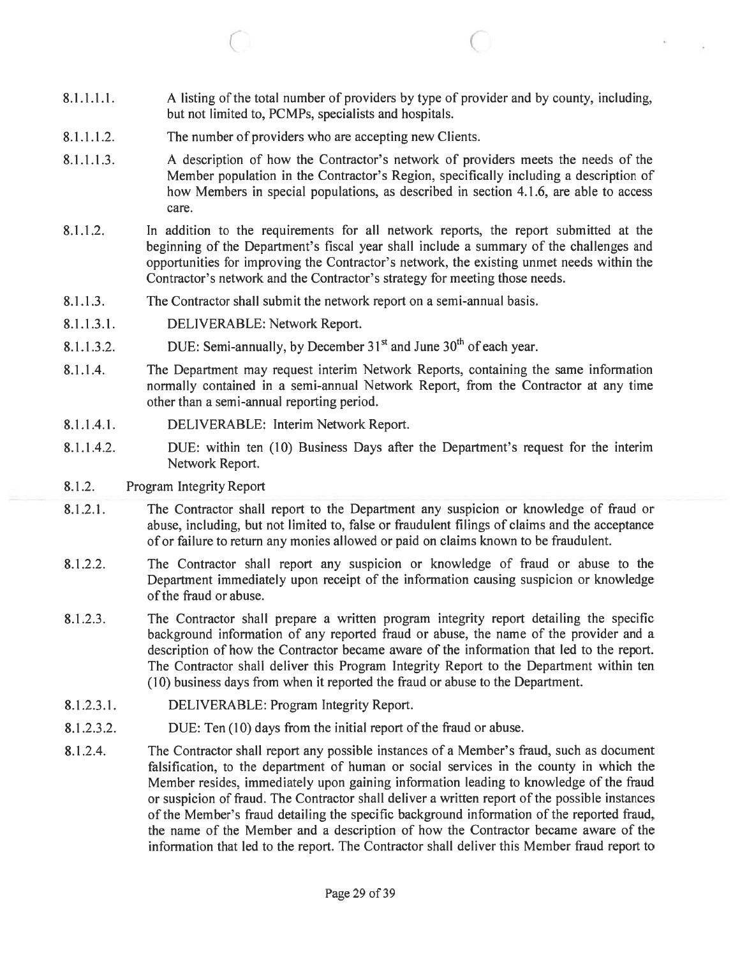8.1.1.1.1. A listing of the total number of providers by type of provider and by county, including, but not limited to, PCMPs, specialists and hospitals.

 $\begin{array}{ccc} \circ & \circ & \circ \end{array}$ 

- 8.1.1.1.2. The number of providers who are accepting new Clients.
- 8.1.1.1.3. A description of how the Contractor's network of providers meets the needs of the Member population in the Contractor's Region, specifically including <sup>a</sup> description of how Members in special populations, as described in section 4.1.6, are able to access care.
- 8.1.1.2. In addition to the requirements for all network reports, the repor<sup>t</sup> submitted at the beginning of the Department's fiscal year shall include <sup>a</sup> summary of the challenges and opportunities for improving the Contractor's network, the existing unmet needs within the Contractor's network and the Contractor's strategy for meeting those needs.
- 8.1.1.3. The Contractor shall submit the network repor<sup>t</sup> on <sup>a</sup> semi-annual basis.
- 8.1.1.3.1. DELIVERABLE: Network Report.
- 8.1.1.3.2. DUE: Semi-annually, by December  $31<sup>st</sup>$  and June  $30<sup>th</sup>$  of each year.
- 8.1.1.4. The Department may reques<sup>t</sup> interim Network Reports, containing the same information normally contained in <sup>a</sup> semi-annual Network Report, from the Contractor at any time other than <sup>a</sup> semi-annual reporting period.
- 8.1.1.4.1. DELIVERABLE: Interim Network Report.
- 8.1.1.4.2. DUE: within ten (10) Business Days after the Department's reques<sup>t</sup> for the interim Network Report.
- 8.1.2. Program Integrity Report
- 8.1 .2.1. The Contractor shall repor<sup>t</sup> to the Department any suspicion or knowledge of fraud or abuse, including, but not limited to, false or fraudulent filings of claims and the acceptance of or failure to return any monies allowed or paid on claims known to be fraudulent.
- 8.1.2.2. The Contractor shall repor<sup>t</sup> any suspicion or knowledge of fraud or abuse to the Department immediately upon receipt of the information causing suspicion or knowledge ofthe fraud or abuse.
- 8.1.2.3. The Contractor shall prepare <sup>a</sup> written program integrity repor<sup>t</sup> detailing the specific background information of any reported fraud or abuse, the name of the provider and <sup>a</sup> description of how the Contractor became aware of the information that led to the report. The Contractor shall deliver this Program Integrity Report to the Department within ten (10) business days from when it reported the fraud or abuse to the Department.
- 8.1.2.3.1. DELIVERABLE: Program Integrity Report.
- 8.1.2.3.2. DUE: Ten (10) days from the initial report of the fraud or abuse.
- 8.1.2.4. The Contractor shall repor<sup>t</sup> any possible instances of <sup>a</sup> Member's fraud, such as document falsification, to the department of human or social services in the county in which the Member resides, immediately upon gaining information leading to knowledge of the fraud or suspicion of fraud. The Contractor shall deliver <sup>a</sup> written repor<sup>t</sup> of the possible instances of the Member's fraud detailing the specific background information of the reported fraud, the name of the Member and <sup>a</sup> description of how the Contractor became aware of the information that led to the report. The Contractor shall deliver this Member fraud repor<sup>t</sup> to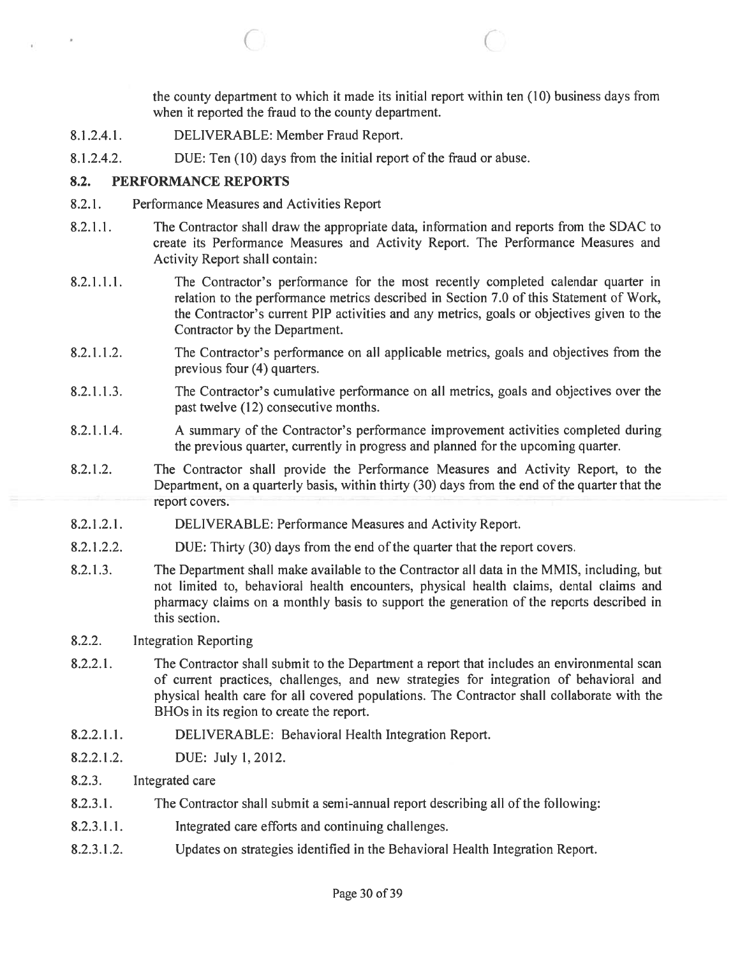the county department to which it made its initial repor<sup>t</sup> within ten (10) business days from when it reported the fraud to the county department.

- 8.1 .2.4.1. DELIVERABLE: Member Fraud Report.
- 8.1.2.4.2. DUE: Ten (10) days from the initial report of the fraud or abuse.

## 8.2. PERFORMANCE REPORTS

- 8.2.1. Performance Measures and Activities Report
- 8.2.1.1. The Contractor shall draw the appropriate data, information and reports from the SDAC to create its Performance Measures and Activity Report. The Performance Measures and Activity Report shall contain:

 $\bigcirc$  contracts to  $\bigcirc$ 

- 8.2.1.1.1. The Contractor's performance for the most recently completed calendar quarter in relation to the performance metrics described in Section 7.0 of this Statement of Work, the Contractor's current PIP activities and any metrics, goals or objectives given to the Contractor by the Department.
- 8.2.1.1.2. The Contractor's performance on all applicable metrics, goals and objectives from the previous four (4) quarters.
- 8.2.1.1.3. The Contractor's cumulative performance on all metrics, goals and objectives over the pas<sup>t</sup> twelve (12) consecutive months.
- 8.2.1.1.4. A summary of the Contractor's performance improvement activities completed during the previous quarter, currently in progress and planned for the upcoming quarter.
- 8.2.1.2. The Contractor shall provide the Performance Measures and Activity Report, to the Department, on a quarterly basis, within thirty (30) days from the end of the quarter that the report covers.
- 8.2.1.2.1. DELIVERABLE: Performance Measures and Activity Report.
- 8.2.1.2.2. DUE: Thirty (30) days from the end of the quarter that the report covers.
- 8.2.1.3. The Department shall make available to the Contractor all data in the MMIS, including, but not limited to, behavioral health encounters, physical health claims, dental claims and pharmacy claims on <sup>a</sup> monthly basis to suppor<sup>t</sup> the generation of the reports described in this section.
- 8.2.2. Integration Reporting
- 8.2.2.1. The Contractor shall submit to the Department a report that includes an environmental scan of current practices, challenges, and new strategies for integration of behavioral and physical health care for all covered populations. The Contractor shall collaborate with the BHOs in its region to create the report.
- 8.2.2.1.1. DELIVERABLE: Behavioral Health Integration Report.
- 8.2.2.1.2. DUE: July 1,2012.
- 8.2.3. Integrated care
- 8.2.3.1. The Contractor shall submit <sup>a</sup> semi-annual repor<sup>t</sup> describing all ofthe following:
- 8.2.3.1.1. Integrated care efforts and continuing challenges.
- 8.2.3.1.2. Updates on strategies identified in the Behavioral Health Integration Report.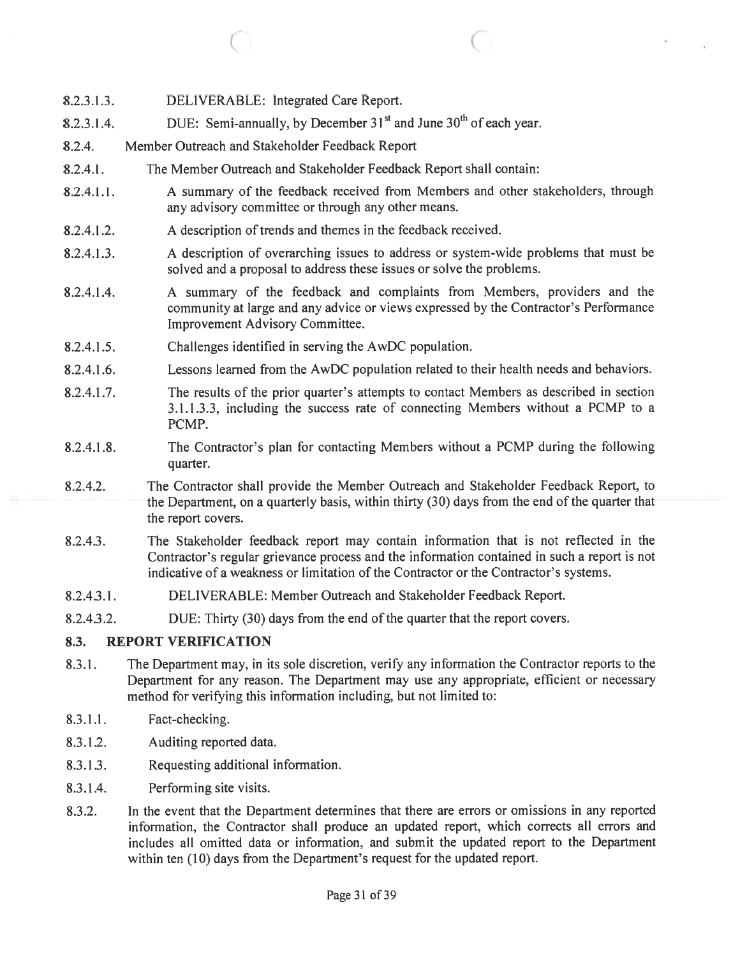- 8.2.3.1.3. DELIVERABLE: Integrated Care Report.
- 8.2.3.1.4. DUE: Semi-annually, by December  $31<sup>st</sup>$  and June  $30<sup>th</sup>$  of each year.
- 8.2.4. Member Outreach and Stakeholder Feedback Report
- 8.2.4.1. The Member Outreach and Stakeholder Feedback Report shall contain:
- 8.2.4.1.1. A summary of the feedback received from Members and other stakeholders, through any advisory committee or through any other means.

 $\overline{\begin{array}{ccc} \text{C} & \text{C} & \text{C} \end{array}}$ 

- 8.2.4.1.2. A description of trends and themes in the feedback received.
- 8.2.4.1.3. A description of overarching issues to address or system-wide problems that must be solved and <sup>a</sup> proposal to address these issues or solve the problems.
- 8.2.4.1.4. A summary of the feedback and complaints from Members, providers and the community at large and any advice or views expressed by the Contractor's Performance Improvement Advisory Committee.
- 8.2.4.1.5. Challenges identified in serving the AwDC population.
- 8.2.4.1.6. Lessons learned from the AwDC population related to their health needs and behaviors.
- 8.2.4.1.7. The results of the prior quarter's attempts to contact Members as described in section 3.1.1.3.3, including the success rate of connecting Members without <sup>a</sup> PCMP to <sup>a</sup> PCMP.
- 8.2.4.1.8. The Contractor's plan for contacting Members without <sup>a</sup> PCMP during the following quarter.
- 8.2.4.2. The Contractor shall provide the Member Outreach and Stakeholder Feedback Report, to the Department, on a quarterly basis, within thirty (30) days from the end of the quarter that the repor<sup>t</sup> covers.
- 8.2.4.3. The Stakeholder feedback repor<sup>t</sup> may contain information that is not reflected in the Contractor's regular grievance process and the information contained in such <sup>a</sup> repor<sup>t</sup> is not indicative of <sup>a</sup> weakness or limitation of the Contractor or the Contractor's systems.
- 8.2.4.3.1. DELIVERABLE: Member Outreach and Stakeholder Feedback Report.
- 8.2.4.3.2. DUE: Thirty (30) days from the end of the quarter that the report covers.

## 8.3. REPORT VERIFICATION

- 8.3.1. The Department may, in its sole discretion, verify any information the Contractor reports to the Department for any reason. The Department may use any appropriate, efficient or necessary method for verifying this information including, but not limited to:
- 8.3.1.1. Fact-checking.
- 8.3.1.2. Auditing reported data.
- 8.3.1.3. Requesting additional information.
- 8.3.1.4. Performing site visits.
- 8.3.2. In the event that the Department determines that there are errors or omissions in any reported information, the Contractor shall produce an updated report, which corrects all errors and includes all omitted data or information, and submit the updated repor<sup>t</sup> to the Department within ten (10) days from the Department's reques<sup>t</sup> for the updated report.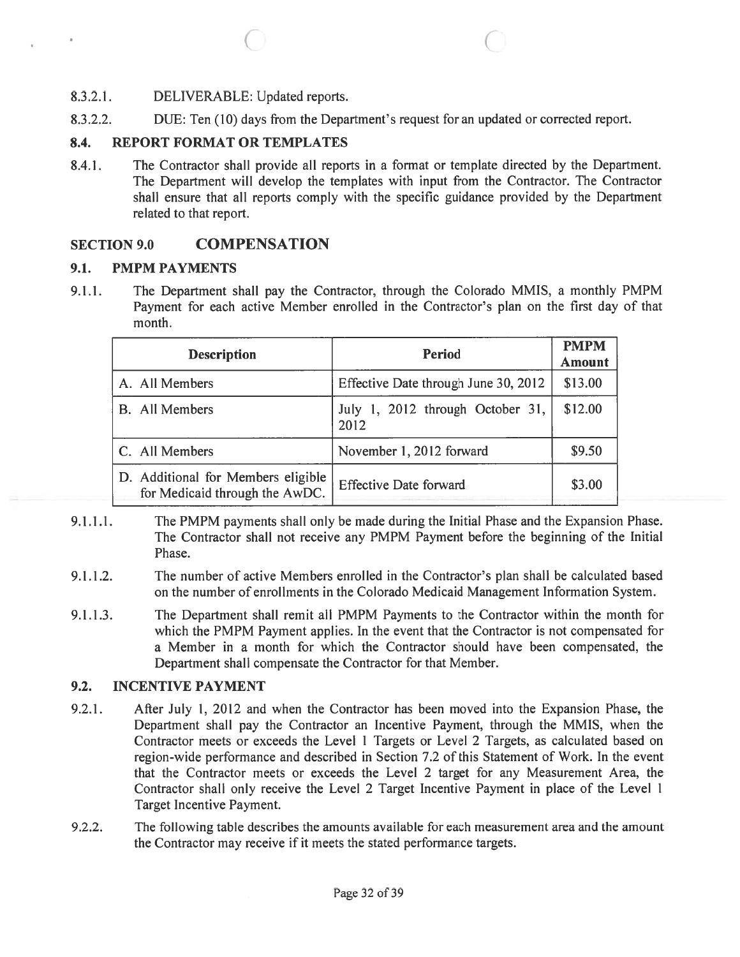8.3.2.1. DELIVERABLE: Updated reports.

C

8.3.2.2. DUE: Ten (10) days from the Department's reques<sup>t</sup> for an updated or corrected report.

# 8.4. REPORT FORMAT OR TEMPLATES

8.4.1. The Contractor shall provide all reports in <sup>a</sup> format or template directed by the Department. The Department will develop the templates with input from the Contractor. The Contractor shall ensure that all reports comply with the specific guidance provided by the Department related to that report.

# SECTION 9.0 COMPENSATION

## 9.1. PMPM PAYMENTS

9.1.1. The Department shall pay the Contractor, through the Colorado MMIS, <sup>a</sup> monthly PMPM Payment for each active Member enrolled in the Contractor's plan on the first day of that month.

| <b>Description</b>                                                   | Period                                   | <b>PMPM</b><br><b>Amount</b> |
|----------------------------------------------------------------------|------------------------------------------|------------------------------|
| A. All Members                                                       | Effective Date through June 30, 2012     | \$13.00                      |
| <b>B.</b> All Members                                                | July 1, 2012 through October 31,<br>2012 | \$12.00                      |
| C. All Members                                                       | November 1, 2012 forward                 | \$9.50                       |
| D. Additional for Members eligible<br>for Medicaid through the AwDC. | <b>Effective Date forward</b>            | \$3.00                       |

- 9.1.1.1. The PMPM payments shall only be made during the Initial Phase and the Expansion Phase. The Contractor shall not receive any PMPM Payment before the beginning of the Initial Phase.
- 9.1.1.2. The number of active Members enrolled in the Contractor's plan shall be calculated based on the number of enrollments in the Colorado Medicaid Management Information System.
- 9.1.1.3. The Department shall remit all PMPM Payments to the Contractor within the month for which the PMPM Payment applies. In the event that the Contractor is not compensated for <sup>a</sup> Member in <sup>a</sup> month for which the Contractor should have been compensated, the Department shall compensate the Contractor for that Member.

## 9.2. INCENTIVE PAYMENT

- 9.2.1. After July 1, 2012 and when the Contractor has been moved into the Expansion Phase, the Department shall pay the Contractor an Incentive Payment, through the MMIS, when the Contractor meets or exceeds the Level 1 Targets or Level 2 Targets, as calculated based on region-wide performance and described in Section 7.2 of this Statement of Work. In the event that the Contractor meets or exceeds the Level 2 target for any Measurement Area, the Contractor shall only receive the Level 2 Target Incentive Payment in place of the Level I Target Incentive Payment.
- 9.2.2. The following table describes the amounts available for each measurement area and the amount the Contractor may receive if it meets the stated performance targets.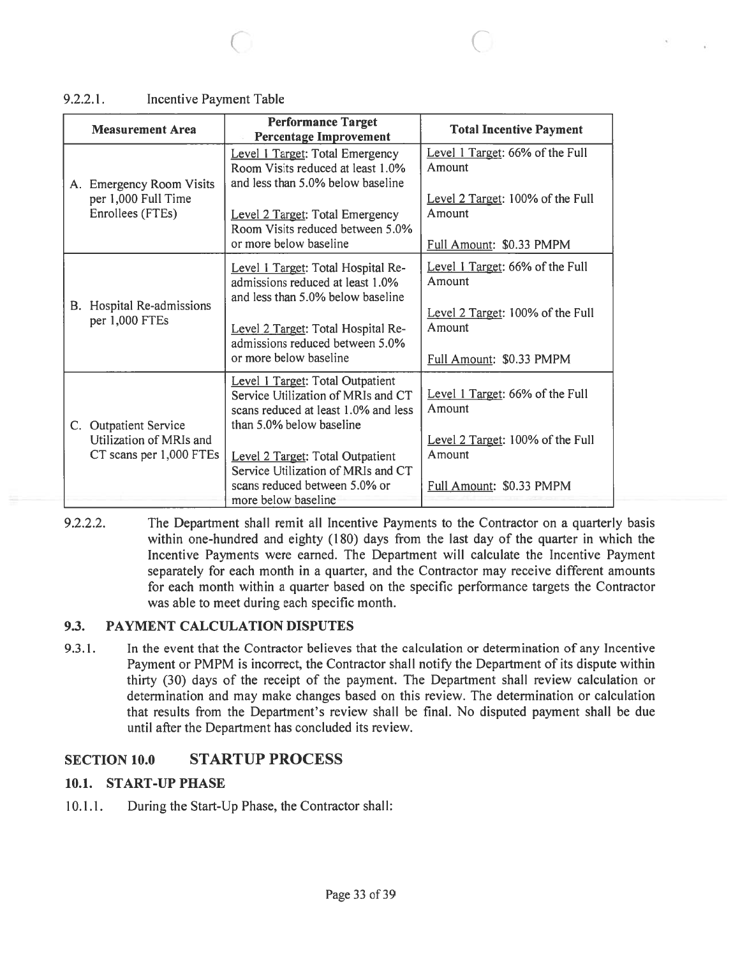## 9.2.2.1. Incentive Payment Table

|    | <b>Measurement Area</b>                                                     | <b>Performance Target</b><br><b>Percentage Improvement</b>                                                                                                                     | <b>Total Incentive Payment</b>                                                          |
|----|-----------------------------------------------------------------------------|--------------------------------------------------------------------------------------------------------------------------------------------------------------------------------|-----------------------------------------------------------------------------------------|
|    | A. Emergency Room Visits<br>per 1,000 Full Time<br>Enrollees (FTEs)         | Level 1 Target: Total Emergency<br>Room Visits reduced at least 1.0%<br>and less than 5.0% below baseline                                                                      | Level 1 Target: 66% of the Full<br>Amount                                               |
|    |                                                                             | Level 2 Target: Total Emergency<br>Room Visits reduced between 5.0%                                                                                                            | Level 2 Target: 100% of the Full<br>Amount                                              |
|    |                                                                             | or more below baseline                                                                                                                                                         | Full Amount: \$0.33 PMPM                                                                |
| Β. | Hospital Re-admissions<br>per 1,000 FTEs                                    | Level 1 Target: Total Hospital Re-<br>admissions reduced at least 1.0%<br>and less than 5.0% below baseline                                                                    | Level 1 Target: 66% of the Full<br>Amount                                               |
|    |                                                                             | Level 2 Target: Total Hospital Re-<br>admissions reduced between 5.0%<br>or more below baseline                                                                                | Level 2 Target: 100% of the Full<br>Amount<br>Full Amount: \$0.33 PMPM                  |
|    | C. Outpatient Service<br>Utilization of MRIs and<br>CT scans per 1,000 FTEs | Level 1 Target: Total Outpatient<br>Service Utilization of MRIs and CT<br>scans reduced at least 1.0% and less<br>than 5.0% below baseline<br>Level 2 Target: Total Outpatient | Level 1 Target: 66% of the Full<br>Amount<br>Level 2 Target: 100% of the Full<br>Amount |
|    |                                                                             | Service Utilization of MRIs and CT<br>scans reduced between 5.0% or<br>more below baseline                                                                                     | Full Amount: \$0.33 PMPM                                                                |

 $\begin{array}{ccc} \circ & \circ & \circ \end{array}$ 

9.2.2.2. The Department shall remit all Incentive Payments to the Contractor on a quarterly basis within one-hundred and eighty (180) days from the last day of the quarter in which the Incentive Payments were earned. The Department will calculate the Incentive Payment separately for each month in <sup>a</sup> quarter, and the Contractor may receive different amounts for each month within <sup>a</sup> quarter based on the specific performance targets the Contractor was able to meet during each specific month.

## 9.3. PAYMENT CALCULATION DISPUTES

9.3.1. In the event that the Contractor believes that the calculation or determination of any Incentive Payment or PMPM is incorrect, the Contractor shall notify the Department of its dispute within thirty (30) days of the receipt of the payment. The Department shall review calculation or determination and may make changes based on this review. The determination or calculation that results from the Department's review shall be final. No disputed paymen<sup>t</sup> shall be due until after the Department has concluded its review.

# SECTION 10.0 STARTUP PROCESS

# 10.1. START-UP PHASE

10.1.1. During the Start-Up Phase, the Contractor shall: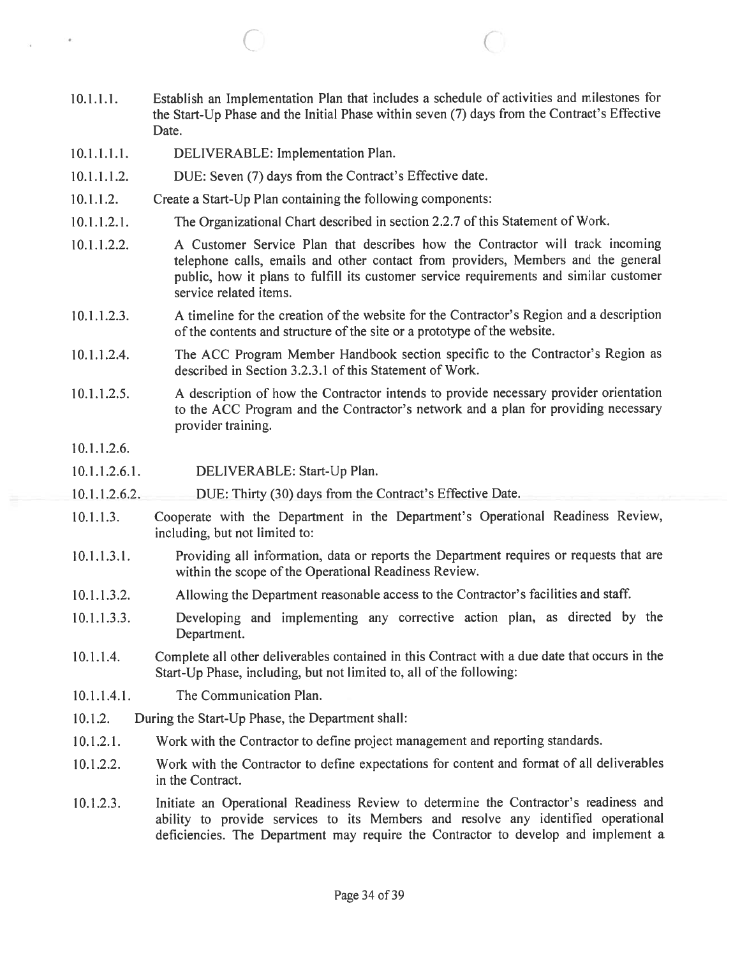10.1 .1 .1. Establish an Implementation Plan that includes <sup>a</sup> schedule of activities and milestones for the Start-Up Phase and the Initial Phase within seven (7) days from the Contract's Effective Date.

 $\circ$  c

- 10.1.1.1.1. DELIVERABLE: Implementation Plan.
- 10.1.1.1.2. DUE: Seven (7) days from the Contract's Effective date.
- 10.1.1.2. Create <sup>a</sup> Start-Up Plan containing the following components:
- 10.1.1.2.1. The Organizational Chart described in section 2.2.7 ofthis Statement of Work.
- 10.1.1.2.2. A Customer Service Plan that describes how the Contractor will track incoming telephone calls, emails and other contact from providers, Members and the genera<sup>l</sup> public, how it <sup>p</sup>lans to fulfill its customer service requirements and similar customer service related items.
- 10.1.1.2.3. A timeline for the creation of the website for the Contractor's Region and <sup>a</sup> description of the contents and structure of the site or a prototype of the website.
- 10.1.1.2.4. The ACC Program Member Handbook section specific to the Contractor's Region as described in Section 3.2.3.1 of this Statement of Work.
- 10.1.1.2.5. <sup>A</sup> description of how the Contractor intends to provide necessary provider orientation to the ACC Program and the Contractor's network and <sup>a</sup> plan for providing necessary provider training.
- 10.1.1.2.6.
- 10.1.1.2.6.1. DELIVERABLE: Start-Up Plan.
- 10.1.1.2.6.2. DUE: Thirty (30) days from the Contract's Effective Date.
- 10.1.1.3. Cooperate with the Department in the Department's Operational Readiness Review, including, but not limited to:
- 10.1.1.3.1. Providing all information, data or reports the Department requires or requests that are within the scope of the Operational Readiness Review.
- 10.1.1.3.2. Allowing the Department reasonable access to the Contractor's facilities and staff.
- 10.1.1.3.3. Developing and implementing any corrective action <sup>p</sup>lan, as directed by the Department.
- 10.1 .1.4. Complete all other deliverables contained in this Contract with <sup>a</sup> due date that occurs in the Start-Up Phase, including, but not limited to, all of the following:
- 10.1.1.4.1. The Communication Plan.
- 10.1.2. During the Start-Up Phase, the Department shall:
- 10.1.2.1. Work with the Contractor to define project managemen<sup>t</sup> and reporting standards.
- 10.1.2.2. Work with the Contractor to define expectations for content and format of all deliverables in the Contract.
- 10.1.2.3. Initiate an Operational Readiness Review to determine the Contractor's readiness and ability to provide services to its Members and resolve any identified operational deficiencies. The Department may require the Contractor to develop and implement <sup>a</sup>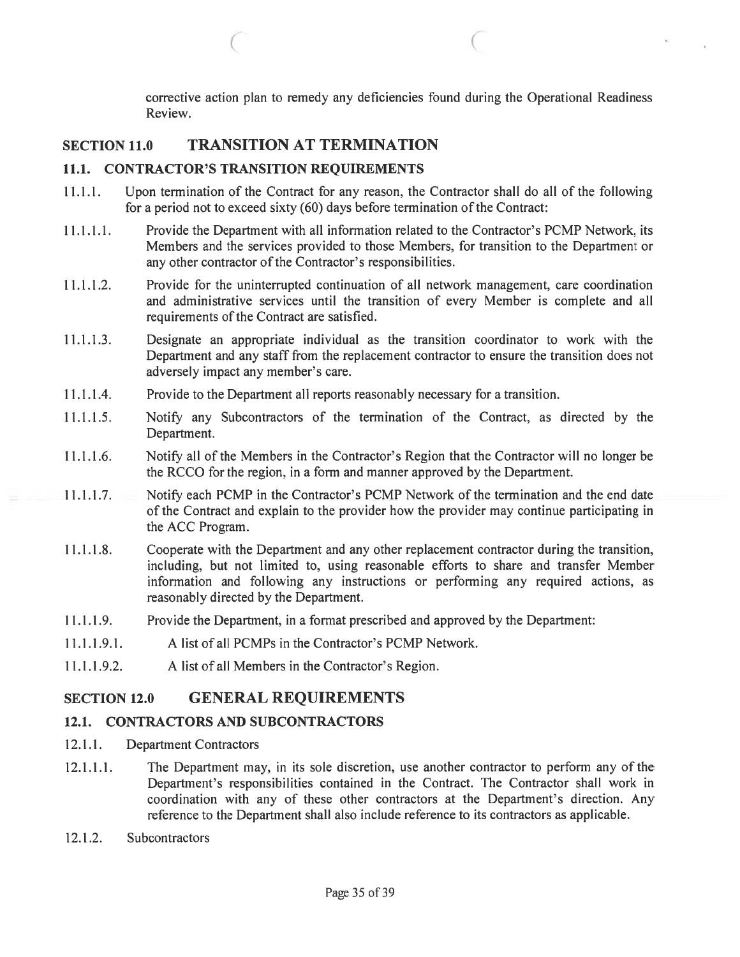corrective action plan to remedy any deficiencies found during the Operational Readiness Review.

# SECTION 11.0 TRANSITION AT TERMINATION

### 11.1. CONTRACTOR'S TRANSITION REQUIREMENTS

11.1.1. Upon termination of the Contract for any reason, the Contractor shall do all of the following for a period not to exceed sixty (60) days before termination of the Contract:

 $\overline{C}$  contrarion  $\overline{C}$ 

- 11.1.1.1. Provide the Department with all information related to the Contractor's PCMP Network, its Members and the services provided to those Members, for transition to the Department or any other contractor of the Contractor's responsibilities.
- 11.1.1.2. Provide for the uninterrupted continuation of all network management, care coordination and administrative services until the transition of every Member is complete and all requirements of the Contract are satisfied.
- 11.1.1.3. Designate an appropriate individual as the transition coordinator to work with the Department and any staff from the replacement contractor to ensure the transition does not adversely impact any member's care.
- 11.1.1.4. Provide to the Department all reports reasonably necessary for <sup>a</sup> transition.
- 11.1.1.5. Notify any Subcontractors of the termination of the Contract, as directed by the Department.
- 11.1.1.6. Notify all of the Members in the Contractor's Region that the Contractor will no Longer be the RCCO for the region, in <sup>a</sup> form and manner approved by the Department.
- 11.1.1.7. Notify each PCMP in the Contractor's PCMP Network of the termination and the end date of the Contract and explain to the provider how the provider may continue participating in the ACC Program.
- 11.1.1.8. Cooperate with the Department and any other replacement contractor during the transition, including, but not limited to, using reasonable efforts to share and transfer Member information and following any instructions or performing any required actions, as reasonably directed by the Department.
- 11.1 .1 .9. Provide the Department, in <sup>a</sup> format prescribed and approved by the Department:
- 11.1.1.9.1. A list of all PCMPs in the Contractor's PCMP Network.
- 11.1.1.9.2. A list of all Members in the Contractor's Region.

## SECTION 12.0 GENERAL REQUIREMENTS

### 12.1. CONTRACTORS AND SUBCONTRACTORS

- 12.1.1. Department Contractors
- 12.1.1.1. The Department may, in its sole discretion, use another contractor to perform any of the Department's responsibilities contained in the Contract. The Contractor shall work in coordination with any of these other contractors at the Department's direction. Any reference to the Department shall also include reference to its contractors as applicable.
- 12.1.2. Subcontractors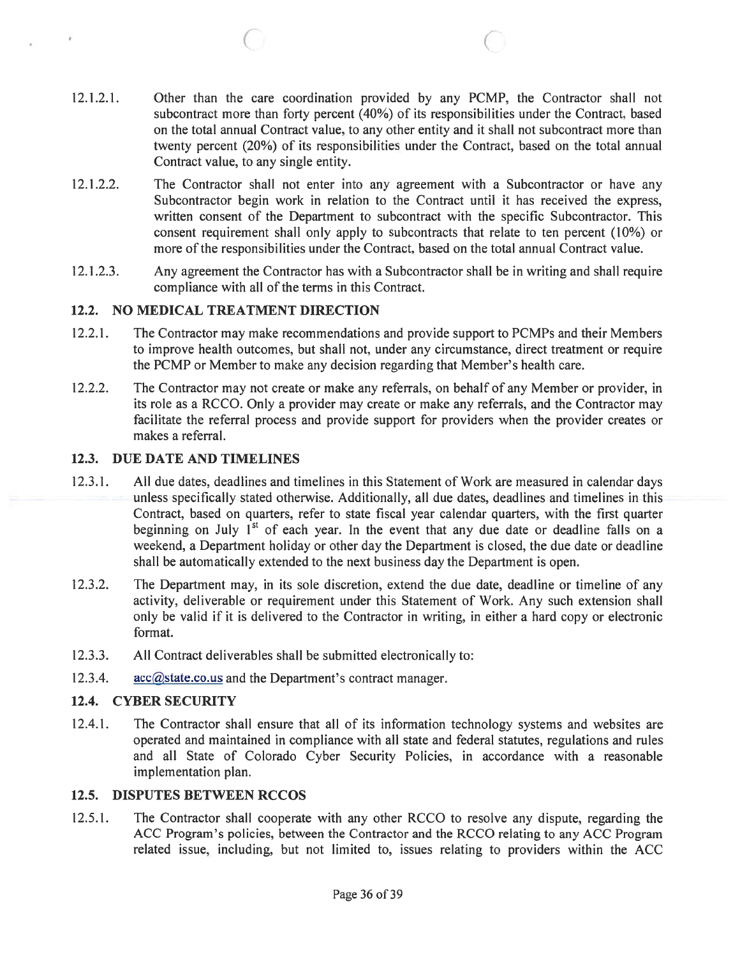12.1.2.1. Other than the care coordination provided by any PCMP, the Contractor shall not subcontract more than forty percen<sup>t</sup> (40%) of its responsibilities under the Contract, based on the total annual Contract value, to any other entity and it shall not subcontract more than twenty percen<sup>t</sup> (20%) of its responsibilities under the Contract, based on the total annual Contract value, to any single entity.

 $\circ$  c

- 12.1.2.2. The Contractor shall not enter into any agreement with a Subcontractor or have any Subcontractor begin work in relation to the Contract until it has received the express, written consent of the Department to subcontract with the specific Subcontractor. This consent requirement shall only apply to subcontracts that relate to ten percen<sup>t</sup> (10%) or more ofthe responsibilities under the Contract, based on the total annual Contract value.
- 12.1.2.3. Any agreemen<sup>t</sup> the Contractor has with <sup>a</sup> Subcontractor shall be in writing and shall require compliance with all of the terms in this Contract.

## 12.2. NO MEDICAL TREATMENT DIRECTION

- 12.2.1. The Contractor may make recommendations and provide suppor<sup>t</sup> to PCMPs and their Members to improve health outcomes, but shall not, under any circumstance, direct treatment or require the PCMP or Member to make any decision regarding that Member's health care.
- 12.2.2. The Contractor may not create or make any referrals, on behalf of any Member or provider, in its role as <sup>a</sup> RCCO. Only <sup>a</sup> provider may create or make any referrals, and the Contractor may facilitate the referral process and provide support for providers when the provider creates or makes <sup>a</sup> referral.

# 12.3. DUE DATE AND TIMELINES

- 12.3.1. All due dates, deadlines and timelines in this Statement of Work are measured in calendar days unless specifically stated otherwise. Additionally, all due dates, deadlines and timelines in this Contract, based on quarters, refer to state fiscal year calendar quarters, with the first quarter beginning on July  $1^{st}$  of each year. In the event that any due date or deadline falls on a weekend, <sup>a</sup> Department holiday or other day the Department is closed, the due date or deadline shall be automatically extended to the next business day the Department is open.
- 12.3.2. The Department may, in its sole discretion, extend the due date, deadline or timeline of any activity, deliverable or requirement under this Statement of Work. Any such extension shall only be valid if it is delivered to the Contractor in writing, in either <sup>a</sup> hard copy or electronic format.
- 12.3.3. All Contract deliverables shall be submitted electronically to:
- 12.3.4. acc@state.co.us and the Department's contract manager.

### 12.4. CYBER SECURITY

12.4.1. The Contractor shall ensure that all of its information technology systems and websites are operated and maintained in compliance with all state and federal statutes, regulations and rules and all State of Colorado Cyber Security Policies, in accordance with <sup>a</sup> reasonable implementation plan.

### 12.5. DISPUTES BETWEEN RCCOS

12.5.1. The Contractor shall cooperate with any other RCCO to resolve any dispute, regarding the ACC Program's policies, between the Contractor and the RCCO relating to any ACC Program related issue, including, but not limited to, issues relating to providers within the ACC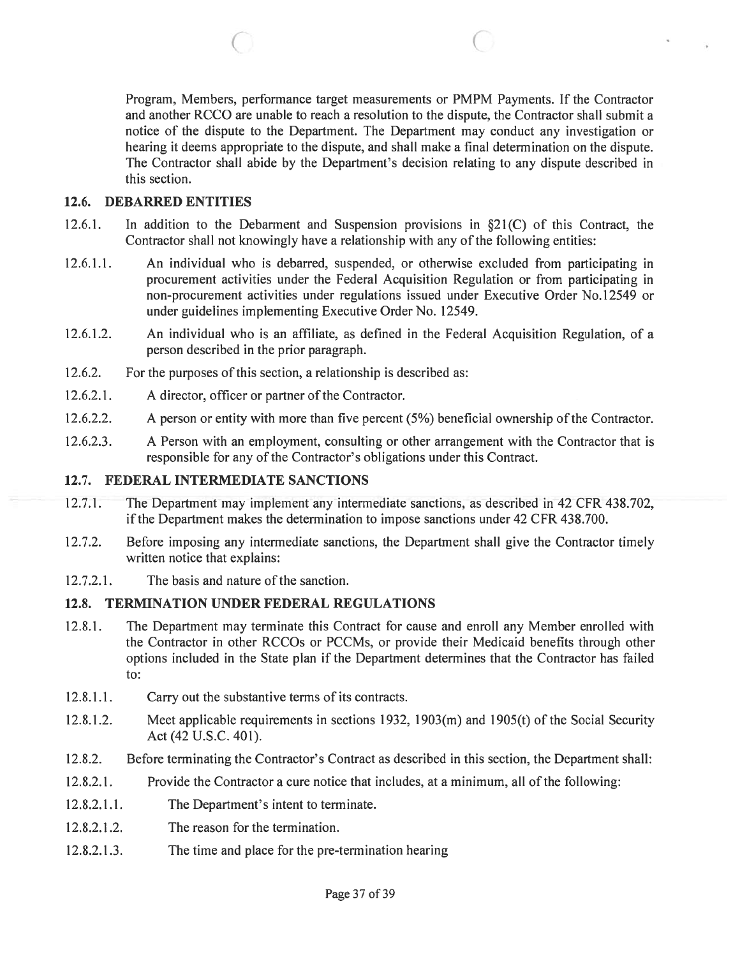Program, Members, performance target measurements or PMPM Payments. If the Contractor and another RCCO are unable to reach <sup>a</sup> resolution to the dispute, the Contractor shall submit <sup>a</sup> notice of the dispute to the Department. The Department may conduct any investigation or hearing it deems appropriate to the dispute, and shall make <sup>a</sup> final determination on the dispute. The Contractor shall abide by the Department's decision relating to any dispute described in this section.

## 12.6. DEBARRED ENTITIES

12.6.1. In addition to the Debarment and Suspension provisions in  $\S21(C)$  of this Contract, the Contractor shall not knowingly have a relationship with any of the following entities:

 $\bigcirc$  contracts to  $\bigcirc$ 

- 12.6.1.1. An individual who is debarred, suspended, or otherwise excluded from participating in procuremen<sup>t</sup> activities under the Federal Acquisition Regulation or from participating in non-procuremen<sup>t</sup> activities under regulations issued under Executive Order No.12549 or under guidelines implementing Executive Order No. 12549.
- 12.6.1.2. An individual who is an affiliate, as defined in the Federal Acquisition Regulation, of <sup>a</sup> person described in the prior paragraph.
- 12.6.2. For the purposes of this section, a relationship is described as:
- 12.6.2.1. A director, officer or partner of the Contractor.
- 12.6.2.2. A person or entity with more than five percent (5%) beneficial ownership of the Contractor.
- 12.6.2.3. A Person with an employment, consulting or other arrangemen<sup>t</sup> with the Contractor that is responsible for any of the Contractor's obligations under this Contract.

## 12.7. FEDERAL INTERMEDIATE SANCTIONS

- 12.7.1. The Department may implement any intermediate sanctions, as described in 42 CFR 438.702, if the Department makes the determination to impose sanctions under 42 CFR 438.700.
- 12.7.2. Before imposing any intermediate sanctions, the Department shall give the Contractor timely written notice that explains:
- 12.7.2.1. The basis and nature of the sanction.

## 12.8. TERMINATION UNDER FEDERAL REGULATIONS

- 12.8.1. The Department may terminate this Contract for cause and enroll any Member enrolled with the Contractor in other RCCOs or PCCMs, or provide their Medicaid benefits through other options included in the State plan if the Department determines that the Contractor has failed to:
- 12.8.1.1. Carry out the substantive terms of its contracts.
- 12.8.1.2. Meet applicable requirements in sections 1932, 1903(m) and 1905(t) of the Social Security Act (42 U.S.C. 401).
- 12.8.2. Before terminating the Contractor's Contract as described in this section, the Department shall:
- 12.8.2.1. Provide the Contractor <sup>a</sup> cure notice that includes, at <sup>a</sup> minimum, all ofthe following:
- 12.8.2.1.1. The Department's intent to terminate.
- 12.8.2.1.2. The reason for the termination.
- 12.8.2.1.3. The time and place for the pre-termination hearing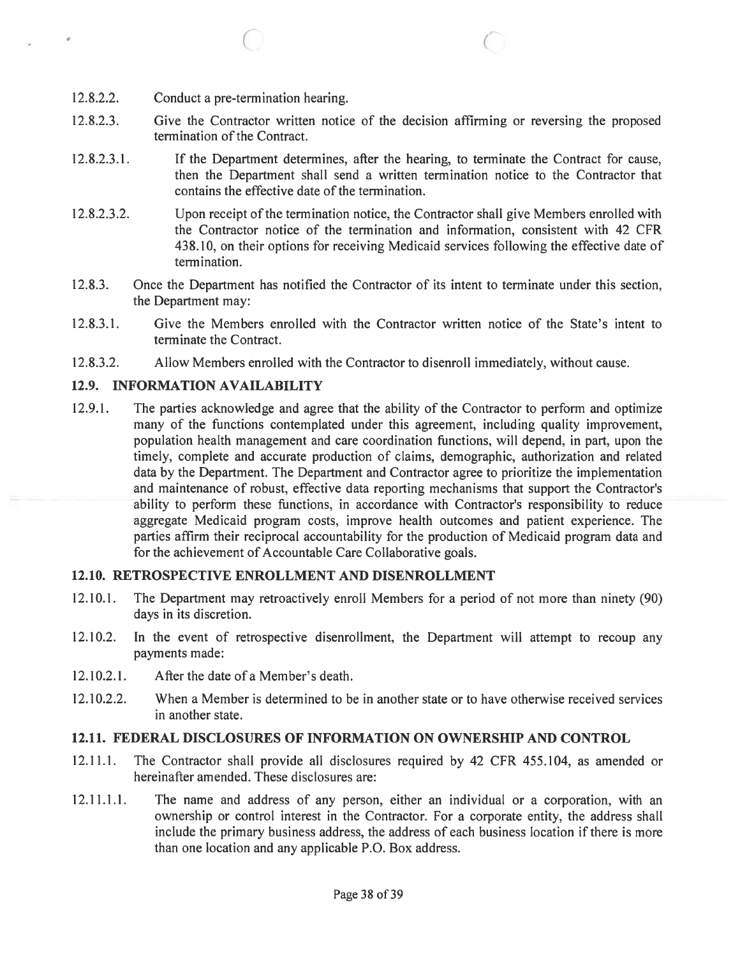12.8.2.2. Conduct <sup>a</sup> pre-termination hearing.

C

- 12.8.2.3. Give the Contractor written notice of the decision affirming or reversing the proposed termination of the Contract.
- 12.8.2.3.1. If the Department determines, after the hearing, to terminate the Contract for cause, then the Department shall send <sup>a</sup> written termination notice to the Contractor that contains the effective date of the termination.
- 12.8.2.3.2. Upon receipt of the termination notice, the Contractor shall give Members enrolled with the Contractor notice of the termination and information, consistent with 42 CFR 438.10, on their options for receiving Medicaid services following the effective date of termination.
- 12.8.3. Once the Department has notified the Contractor of its intent to terminate under this section, the Department may:
- 12.8.3.1. Give the Members enrolled with the Contractor written notice of the State's intent to terminate the Contract.
- 12.8.3.2. Allow Members enrolled with the Contractor to disenroll immediately, without cause.

## 12.9. INFORMATION AVAILABILITY

12.9.1. The parties acknowledge and agree that the ability of the Contractor to perform and optimize many of the functions contemplated under this agreement, including quality improvement, population health managemen<sup>t</sup> and care coordination functions, will depend, in part, upon the timely, complete and accurate production of claims, demographic, authorization and related data by the Department. The Department and Contractor agree to prioritize the implementation and maintenance of robust, effective data reporting mechanisms that suppor<sup>t</sup> the Contractor's ability to perform these functions, in accordance with Contractor's responsibility to reduce aggregate Medicaid program costs, improve health outcomes and patient experience. The parties affirm their reciprocal accountability for the production of Medicaid program data and for the achievement of Accountable Care Collaborative goals.

### 12.10. RETROSPECTIVE ENROLLMENT AND DISENROLLMENT

- 12.10.1. The Department may retroactively enroll Members for <sup>a</sup> period of not more than ninety (90) days in its discretion.
- 12.10.2. In the event of retrospective disenrollment, the Department will attempt to recoup any payments made:
- 12.10.2.1. After the date of <sup>a</sup> Member's death.
- 12.10.2.2. When <sup>a</sup> Member is determined to be in another state or to have otherwise received services in another state.

## 12.11. FEDERAL DISCLOSURES OF INFORMATION ON OWNERSHIP AND CONTROL

- 12.11.1. The Contractor shall provide all disclosures required by 42 CFR 455.104, as amended or hereinafter amended. These disclosures are:
- 12.11.1.1. The name and address of any person, either an individual or <sup>a</sup> corporation, with an ownership or control interest in the Contractor. For <sup>a</sup> corporate entity, the address shall include the primary business address, the address of each business location if there is more than one location and any applicable P.O. Box address.